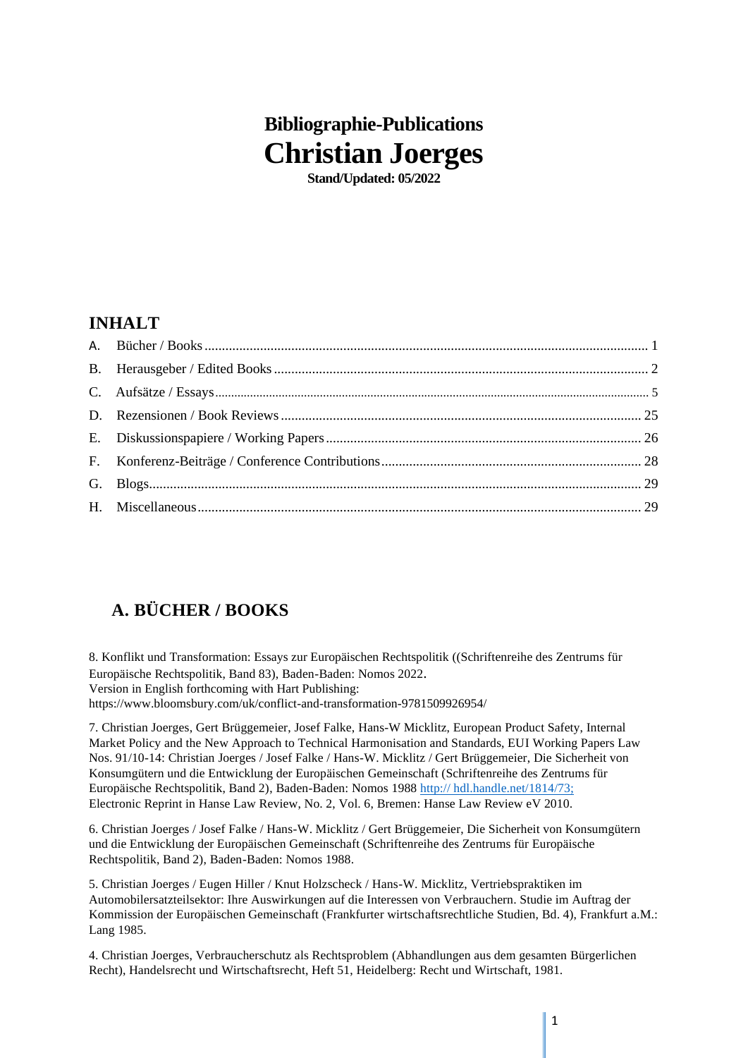# **Bibliographie-Publications Christian Joerges**

**Stand/Updated: 05/2022**

### **INHALT**

# <span id="page-0-0"></span>**A. BÜCHER / BOOKS**

8. Konflikt und Transformation: Essays zur Europäischen Rechtspolitik ((Schriftenreihe des Zentrums für Europäische Rechtspolitik, Band 83), Baden-Baden: Nomos 2022. Version in English forthcoming with Hart Publishing: https://www.bloomsbury.com/uk/conflict-and-transformation-9781509926954/

7. Christian Joerges, Gert Brüggemeier, Josef Falke, Hans-W Micklitz, European Product Safety, Internal Market Policy and the New Approach to Technical Harmonisation and Standards, EUI Working Papers Law Nos. 91/10-14: Christian Joerges / Josef Falke / Hans-W. Micklitz / Gert Brüggemeier, Die Sicherheit von Konsumgütern und die Entwicklung der Europäischen Gemeinschaft (Schriftenreihe des Zentrums für Europäische Rechtspolitik, Band 2), Baden-Baden: Nomos 1988 http:// hdl.handle.net/1814/73; Electronic Reprint in Hanse Law Review, No. 2, Vol. 6, Bremen: Hanse Law Review eV 2010.

6. Christian Joerges / Josef Falke / Hans-W. Micklitz / Gert Brüggemeier, Die Sicherheit von Konsumgütern und die Entwicklung der Europäischen Gemeinschaft (Schriftenreihe des Zentrums für Europäische Rechtspolitik, Band 2), Baden-Baden: Nomos 1988.

5. Christian Joerges / Eugen Hiller / Knut Holzscheck / Hans-W. Micklitz, Vertriebspraktiken im Automobilersatzteilsektor: Ihre Auswirkungen auf die Interessen von Verbrauchern. Studie im Auftrag der Kommission der Europäischen Gemeinschaft (Frankfurter wirtschaftsrechtliche Studien, Bd. 4), Frankfurt a.M.: Lang 1985.

4. Christian Joerges, Verbraucherschutz als Rechtsproblem (Abhandlungen aus dem gesamten Bürgerlichen Recht), Handelsrecht und Wirtschaftsrecht, Heft 51, Heidelberg: Recht und Wirtschaft, 1981.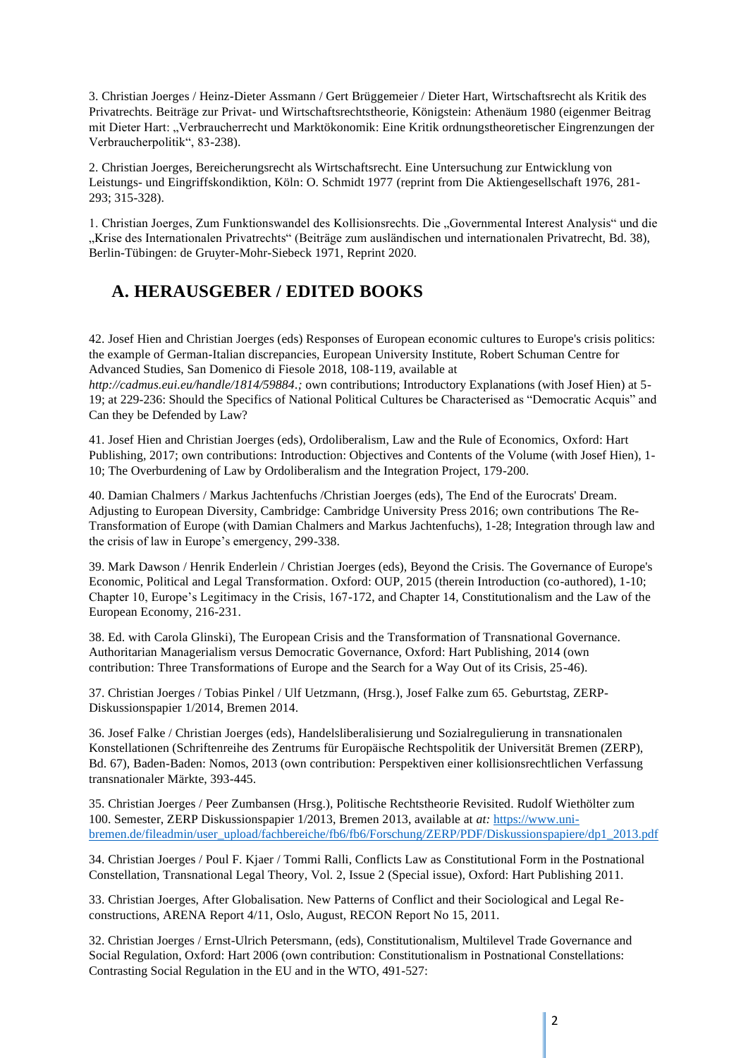3. Christian Joerges / Heinz-Dieter Assmann / Gert Brüggemeier / Dieter Hart, Wirtschaftsrecht als Kritik des Privatrechts. Beiträge zur Privat- und Wirtschaftsrechtstheorie, Königstein: Athenäum 1980 (eigenmer Beitrag mit Dieter Hart: "Verbraucherrecht und Marktökonomik: Eine Kritik ordnungstheoretischer Eingrenzungen der Verbraucherpolitik", 83-238).

2. Christian Joerges, Bereicherungsrecht als Wirtschaftsrecht. Eine Untersuchung zur Entwicklung von Leistungs- und Eingriffskondiktion, Köln: O. Schmidt 1977 (reprint from Die Aktiengesellschaft 1976, 281- 293; 315-328).

1. Christian Joerges, Zum Funktionswandel des Kollisionsrechts. Die "Governmental Interest Analysis" und die "Krise des Internationalen Privatrechts" (Beiträge zum ausländischen und internationalen Privatrecht, Bd. 38), Berlin-Tübingen: de Gruyter-Mohr-Siebeck 1971, Reprint 2020.

### <span id="page-1-0"></span>**A. HERAUSGEBER / EDITED BOOKS**

42. Josef Hien and Christian Joerges (eds) Responses of European economic cultures to Europe's crisis politics: the example of German-Italian discrepancies, European University Institute, Robert Schuman Centre for Advanced Studies, San Domenico di Fiesole 2018, 108-119, available at *[http://cadmus.eui.eu/handle/1814/59884.](http://cadmus.eui.eu/handle/1814/59884);* own contributions; Introductory Explanations (with Josef Hien) at 5-

19; at 229-236: Should the Specifics of National Political Cultures be Characterised as "Democratic Acquis" and Can they be Defended by Law?

41. Josef Hien and Christian Joerges (eds), Ordoliberalism, Law and the Rule of Economics, Oxford: Hart Publishing, 2017; own contributions: Introduction: Objectives and Contents of the Volume (with Josef Hien), 1- 10; The Overburdening of Law by Ordoliberalism and the Integration Project, 179-200.

40. Damian Chalmers / Markus Jachtenfuchs /Christian Joerges (eds), The End of the Eurocrats' Dream. Adjusting to European Diversity, Cambridge: Cambridge University Press 2016; own contributions The Re-Transformation of Europe (with Damian Chalmers and Markus Jachtenfuchs), 1-28; Integration through law and the crisis of law in Europe's emergency, 299-338.

39. Mark Dawson / Henrik Enderlein / Christian Joerges (eds), Beyond the Crisis. The Governance of Europe's Economic, Political and Legal Transformation. Oxford: OUP, 2015 (therein Introduction (co-authored), 1-10; Chapter 10, Europe's Legitimacy in the Crisis, 167-172, and Chapter 14, Constitutionalism and the Law of the European Economy, 216-231.

38. Ed. with Carola Glinski), The European Crisis and the Transformation of Transnational Governance. Authoritarian Managerialism versus Democratic Governance, Oxford: Hart Publishing, 2014 (own contribution: Three Transformations of Europe and the Search for a Way Out of its Crisis, 25-46).

37. Christian Joerges / Tobias Pinkel / Ulf Uetzmann, (Hrsg.), Josef Falke zum 65. Geburtstag, ZERP-Diskussionspapier 1/2014, Bremen 2014.

36. Josef Falke / Christian Joerges (eds), Handelsliberalisierung und Sozialregulierung in transnationalen Konstellationen (Schriftenreihe des Zentrums für Europäische Rechtspolitik der Universität Bremen (ZERP), Bd. 67), Baden-Baden: Nomos, 2013 (own contribution: Perspektiven einer kollisionsrechtlichen Verfassung transnationaler Märkte, 393-445.

35. Christian Joerges / Peer Zumbansen (Hrsg.), Politische Rechtstheorie Revisited. Rudolf Wiethölter zum 100. Semester, ZERP Diskussionspapier 1/2013, Bremen 2013, available at *at:* [https://www.uni](https://www.uni-bremen.de/fileadmin/user_upload/fachbereiche/fb6/fb6/Forschung/ZERP/PDF/Diskussionspapiere/dp1_2013.pdf)[bremen.de/fileadmin/user\\_upload/fachbereiche/fb6/fb6/Forschung/ZERP/PDF/Diskussionspapiere/dp1\\_2013.pdf](https://www.uni-bremen.de/fileadmin/user_upload/fachbereiche/fb6/fb6/Forschung/ZERP/PDF/Diskussionspapiere/dp1_2013.pdf)

34. Christian Joerges / Poul F. Kjaer / Tommi Ralli, Conflicts Law as Constitutional Form in the Postnational Constellation, Transnational Legal Theory, Vol. 2, Issue 2 (Special issue), Oxford: Hart Publishing 2011.

33. Christian Joerges, After Globalisation. New Patterns of Conflict and their Sociological and Legal Reconstructions, ARENA Report 4/11, Oslo, August, RECON Report No 15, 2011.

32. Christian Joerges / Ernst-Ulrich Petersmann, (eds), Constitutionalism, Multilevel Trade Governance and Social Regulation, Oxford: Hart 2006 (own contribution: Constitutionalism in Postnational Constellations: Contrasting Social Regulation in the EU and in the WTO, 491-527: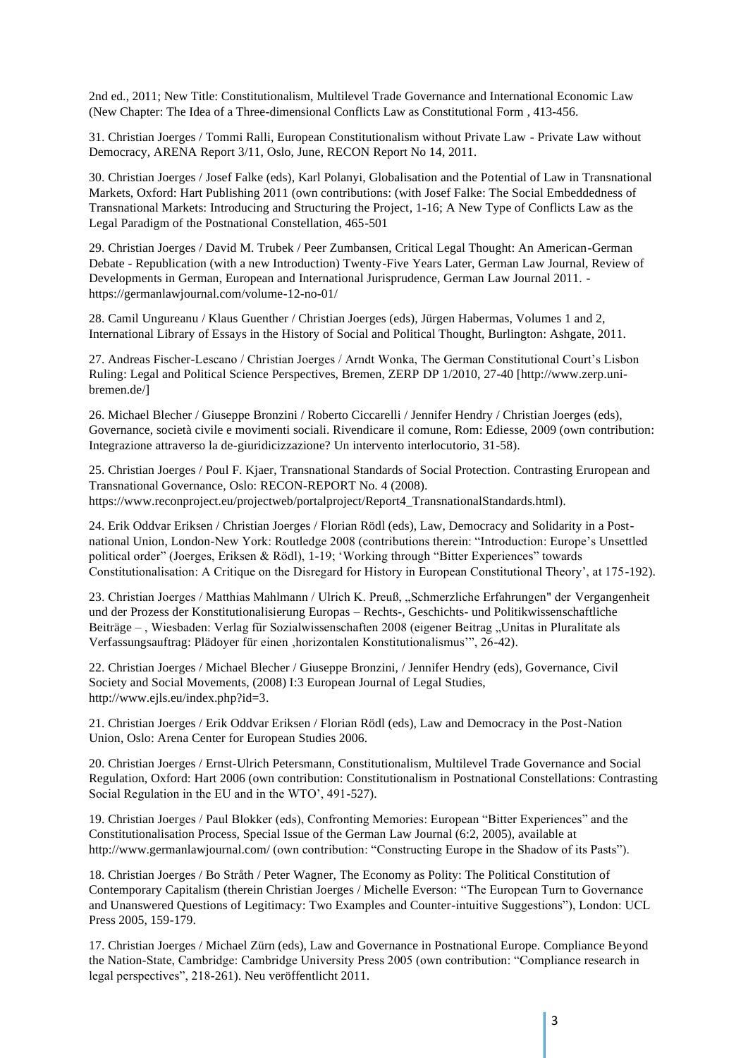2nd ed., 2011; New Title: Constitutionalism, Multilevel Trade Governance and International Economic Law (New Chapter: The Idea of a Three-dimensional Conflicts Law as Constitutional Form , 413-456.

31. Christian Joerges / Tommi Ralli, European Constitutionalism without Private Law - Private Law without Democracy, ARENA Report 3/11, Oslo, June, RECON Report No 14, 2011.

30. Christian Joerges / Josef Falke (eds), Karl Polanyi, Globalisation and the Potential of Law in Transnational Markets, Oxford: Hart Publishing 2011 (own contributions: (with Josef Falke: The Social Embeddedness of Transnational Markets: Introducing and Structuring the Project, 1-16; A New Type of Conflicts Law as the Legal Paradigm of the Postnational Constellation, 465-501

29. Christian Joerges / David M. Trubek / Peer Zumbansen, Critical Legal Thought: An American-German Debate - Republication (with a new Introduction) Twenty-Five Years Later, German Law Journal, Review of Developments in German, European and International Jurisprudence, German Law Journal 2011. https://germanlawjournal.com/volume-12-no-01/

28. Camil Ungureanu / Klaus Guenther / Christian Joerges (eds), Jürgen Habermas, Volumes 1 and 2, International Library of Essays in the History of Social and Political Thought, Burlington: Ashgate, 2011.

27. Andreas Fischer-Lescano / Christian Joerges / Arndt Wonka, The German Constitutional Court's Lisbon Ruling: Legal and Political Science Perspectives, Bremen, ZERP DP 1/2010, 27-40 [\[http://www.zerp.uni](http://www.zerp.uni-/)bremen.de/]

26. Michael Blecher / Giuseppe Bronzini / Roberto Ciccarelli / Jennifer Hendry / Christian Joerges (eds), Governance, società civile e movimenti sociali. Rivendicare il comune, Rom: Ediesse, 2009 (own contribution: Integrazione attraverso la de-giuridicizzazione? Un intervento interlocutorio, 31-58).

25. Christian Joerges / Poul F. Kjaer, Transnational Standards of Social Protection. Contrasting Eruropean and Transnational Governance, Oslo: RECON-REPORT No. 4 (2008). https:/[/www.reconproject.eu/projectweb/portalproject/Report4\\_TransnationalStandards.html\).](http://www.reconproject.eu/projectweb/portalproject/Report4_TransnationalStandards.html))

24. Erik Oddvar Eriksen / Christian Joerges / Florian Rödl (eds), Law, Democracy and Solidarity in a Postnational Union, London-New York: Routledge 2008 (contributions therein: "Introduction: Europe's Unsettled political order" (Joerges, Eriksen & Rödl), 1-19; 'Working through "Bitter Experiences" towards Constitutionalisation: A Critique on the Disregard for History in European Constitutional Theory', at 175-192).

23. Christian Joerges / Matthias Mahlmann / Ulrich K. Preuß, "Schmerzliche Erfahrungen" der Vergangenheit und der Prozess der Konstitutionalisierung Europas – Rechts-, Geschichts- und Politikwissenschaftliche Beiträge – , Wiesbaden: Verlag für Sozialwissenschaften 2008 (eigener Beitrag "Unitas in Pluralitate als Verfassungsauftrag: Plädoyer für einen 'horizontalen Konstitutionalismus'", 26-42).

22. Christian Joerges / Michael Blecher / Giuseppe Bronzini, / Jennifer Hendry (eds), Governance, Civil Society and Social Movements, (2008) I:3 European Journal of Legal Studies, [http://www.ejls.eu/index.php?id=3.](http://www.ejls.eu/index.php?id=3)

21. Christian Joerges / Erik Oddvar Eriksen / Florian Rödl (eds), Law and Democracy in the Post-Nation Union, Oslo: Arena Center for European Studies 2006.

20. Christian Joerges / Ernst-Ulrich Petersmann, Constitutionalism, Multilevel Trade Governance and Social Regulation, Oxford: Hart 2006 (own contribution: Constitutionalism in Postnational Constellations: Contrasting Social Regulation in the EU and in the WTO', 491-527).

19. Christian Joerges / Paul Blokker (eds), Confronting Memories: European "Bitter Experiences" and the Constitutionalisation Process, Special Issue of the German Law Journal (6:2, 2005), available at <http://www.germanlawjournal.com/> (own contribution: "Constructing Europe in the Shadow of its Pasts").

18. Christian Joerges / Bo Stråth / Peter Wagner, The Economy as Polity: The Political Constitution of Contemporary Capitalism (therein Christian Joerges / Michelle Everson: "The European Turn to Governance and Unanswered Questions of Legitimacy: Two Examples and Counter-intuitive Suggestions"), London: UCL Press 2005, 159-179.

17. Christian Joerges / Michael Zürn (eds), Law and Governance in Postnational Europe. Compliance Beyond the Nation-State, Cambridge: Cambridge University Press 2005 (own contribution: "Compliance research in legal perspectives", 218-261). Neu veröffentlicht 2011.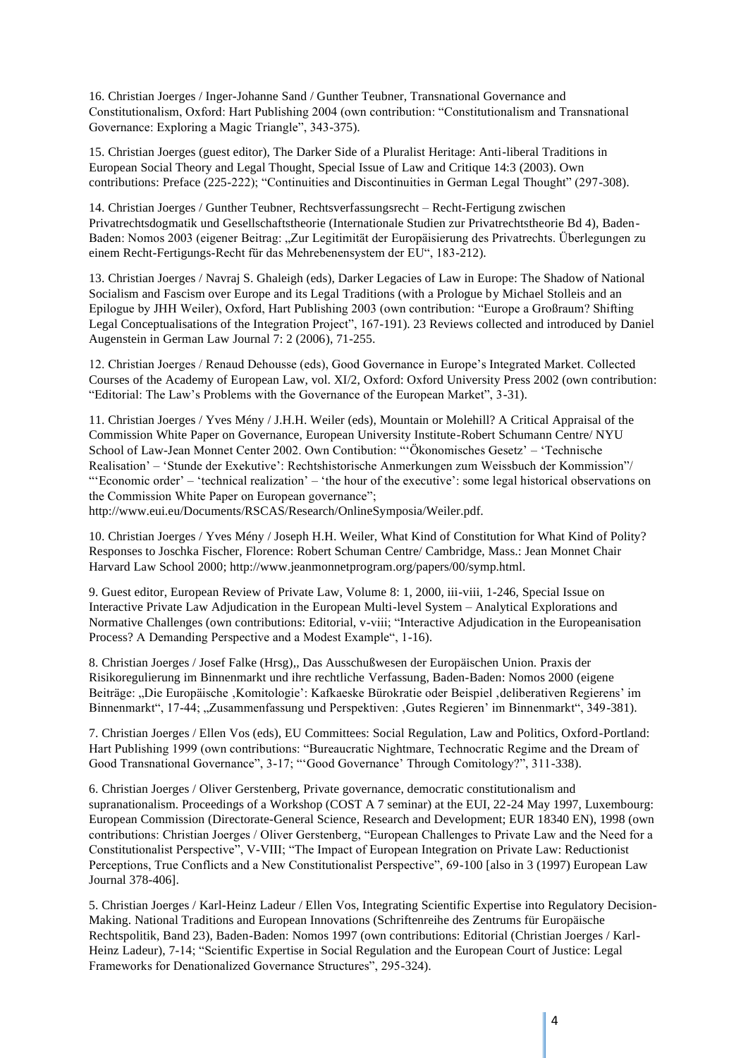16. Christian Joerges / Inger-Johanne Sand / Gunther Teubner, Transnational Governance and Constitutionalism, Oxford: Hart Publishing 2004 (own contribution: "Constitutionalism and Transnational Governance: Exploring a Magic Triangle", 343-375).

15. Christian Joerges (guest editor), The Darker Side of a Pluralist Heritage: Anti-liberal Traditions in European Social Theory and Legal Thought, Special Issue of Law and Critique 14:3 (2003). Own contributions: Preface (225-222); "Continuities and Discontinuities in German Legal Thought" (297-308).

14. Christian Joerges / Gunther Teubner, Rechtsverfassungsrecht – Recht-Fertigung zwischen Privatrechtsdogmatik und Gesellschaftstheorie (Internationale Studien zur Privatrechtstheorie Bd 4), Baden-Baden: Nomos 2003 (eigener Beitrag: "Zur Legitimität der Europäisierung des Privatrechts. Überlegungen zu einem Recht-Fertigungs-Recht für das Mehrebenensystem der EU", 183-212).

13. Christian Joerges / Navraj S. Ghaleigh (eds), Darker Legacies of Law in Europe: The Shadow of National Socialism and Fascism over Europe and its Legal Traditions (with a Prologue by Michael Stolleis and an Epilogue by JHH Weiler), Oxford, Hart Publishing 2003 (own contribution: "Europe a Großraum? Shifting Legal Conceptualisations of the Integration Project", 167-191). 23 Reviews collected and introduced by Daniel Augenstein in German Law Journal 7: 2 (2006), 71-255.

12. Christian Joerges / Renaud Dehousse (eds), Good Governance in Europe's Integrated Market. Collected Courses of the Academy of European Law, vol. XI/2, Oxford: Oxford University Press 2002 (own contribution: "Editorial: The Law's Problems with the Governance of the European Market", 3-31).

11. Christian Joerges / Yves Mény / J.H.H. Weiler (eds), Mountain or Molehill? A Critical Appraisal of the Commission White Paper on Governance, European University Institute-Robert Schumann Centre/ NYU School of Law-Jean Monnet Center 2002. Own Contibution: "'Ökonomisches Gesetz' – 'Technische Realisation' – 'Stunde der Exekutive': Rechtshistorische Anmerkungen zum Weissbuch der Kommission"/ "'Economic order' – 'technical realization' – 'the hour of the executive': some legal historical observations on the Commission White Paper on European governance";

[http://www.eui.eu/Documents/RSCAS/Research/OnlineSymposia/Weiler.pdf.](http://www.eui.eu/Documents/RSCAS/Research/OnlineSymposia/Weiler.pdf)

10. Christian Joerges / Yves Mény / Joseph H.H. Weiler, What Kind of Constitution for What Kind of Polity? Responses to Joschka Fischer, Florence: Robert Schuman Centre/ Cambridge, Mass.: Jean Monnet Chair Harvard Law School 2000; [http://www.jeanmonnetprogram.org/papers/00/symp.html.](http://www.jeanmonnetprogram.org/papers/00/symp.html)

9. Guest editor, European Review of Private Law, Volume 8: 1, 2000, iii-viii, 1-246, Special Issue on Interactive Private Law Adjudication in the European Multi-level System – Analytical Explorations and Normative Challenges (own contributions: Editorial, v-viii; "Interactive Adjudication in the Europeanisation Process? A Demanding Perspective and a Modest Example", 1-16).

8. Christian Joerges / Josef Falke (Hrsg),, Das Ausschußwesen der Europäischen Union. Praxis der Risikoregulierung im Binnenmarkt und ihre rechtliche Verfassung, Baden-Baden: Nomos 2000 (eigene Beiträge: "Die Europäische ,Komitologie': Kafkaeske Bürokratie oder Beispiel ,deliberativen Regierens' im Binnenmarkt", 17-44; "Zusammenfassung und Perspektiven: "Gutes Regieren' im Binnenmarkt", 349-381).

7. Christian Joerges / Ellen Vos (eds), EU Committees: Social Regulation, Law and Politics, Oxford-Portland: Hart Publishing 1999 (own contributions: "Bureaucratic Nightmare, Technocratic Regime and the Dream of Good Transnational Governance", 3-17; "'Good Governance' Through Comitology?", 311-338).

6. Christian Joerges / Oliver Gerstenberg, Private governance, democratic constitutionalism and supranationalism. Proceedings of a Workshop (COST A 7 seminar) at the EUI, 22-24 May 1997, Luxembourg: European Commission (Directorate-General Science, Research and Development; EUR 18340 EN), 1998 (own contributions: Christian Joerges / Oliver Gerstenberg, "European Challenges to Private Law and the Need for a Constitutionalist Perspective", V-VIII; "The Impact of European Integration on Private Law: Reductionist Perceptions, True Conflicts and a New Constitutionalist Perspective", 69-100 [also in 3 (1997) European Law Journal 378-406].

5. Christian Joerges / Karl-Heinz Ladeur / Ellen Vos, Integrating Scientific Expertise into Regulatory Decision-Making. National Traditions and European Innovations (Schriftenreihe des Zentrums für Europäische Rechtspolitik, Band 23), Baden-Baden: Nomos 1997 (own contributions: Editorial (Christian Joerges / Karl-Heinz Ladeur), 7-14; "Scientific Expertise in Social Regulation and the European Court of Justice: Legal Frameworks for Denationalized Governance Structures", 295-324).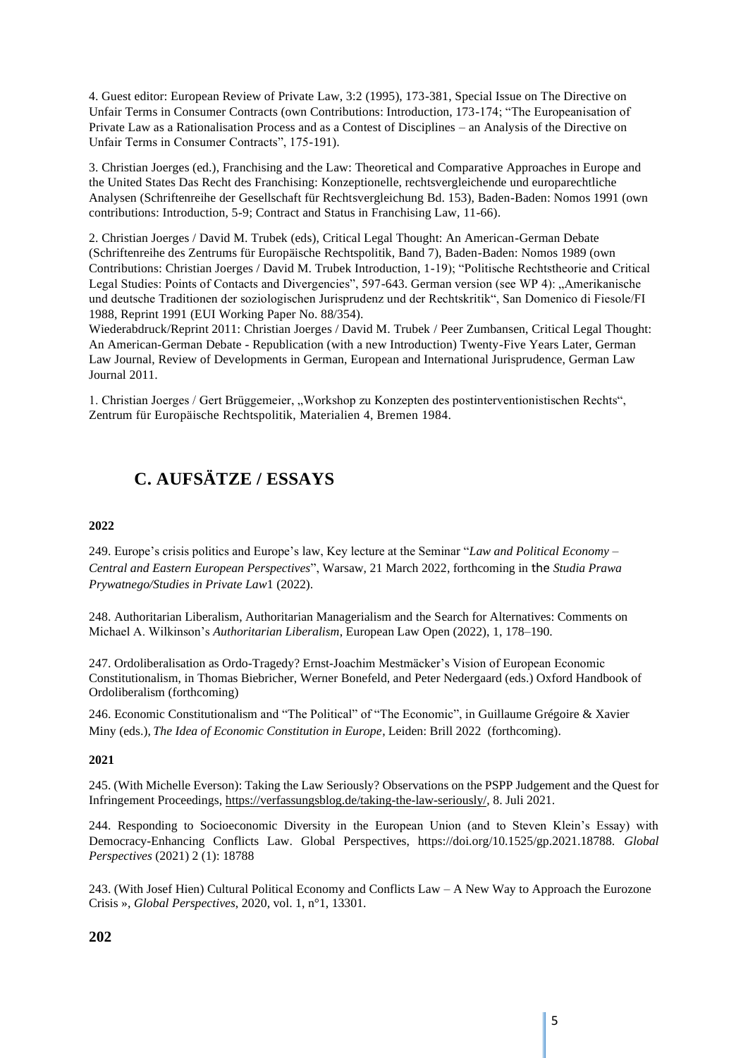4. Guest editor: European Review of Private Law, 3:2 (1995), 173-381, Special Issue on The Directive on Unfair Terms in Consumer Contracts (own Contributions: Introduction, 173-174; "The Europeanisation of Private Law as a Rationalisation Process and as a Contest of Disciplines – an Analysis of the Directive on Unfair Terms in Consumer Contracts", 175-191).

3. Christian Joerges (ed.), Franchising and the Law: Theoretical and Comparative Approaches in Europe and the United States Das Recht des Franchising: Konzeptionelle, rechtsvergleichende und europarechtliche Analysen (Schriftenreihe der Gesellschaft für Rechtsvergleichung Bd. 153), Baden-Baden: Nomos 1991 (own contributions: Introduction, 5-9; Contract and Status in Franchising Law, 11-66).

2. Christian Joerges / David M. Trubek (eds), Critical Legal Thought: An American-German Debate (Schriftenreihe des Zentrums für Europäische Rechtspolitik, Band 7), Baden-Baden: Nomos 1989 (own Contributions: Christian Joerges / David M. Trubek Introduction, 1-19); "Politische Rechtstheorie and Critical Legal Studies: Points of Contacts and Divergencies", 597-643. German version (see WP 4): "Amerikanische und deutsche Traditionen der soziologischen Jurisprudenz und der Rechtskritik", San Domenico di Fiesole/FI 1988, Reprint 1991 (EUI Working Paper No. 88/354).

Wiederabdruck/Reprint 2011: Christian Joerges / David M. Trubek / Peer Zumbansen, Critical Legal Thought: An American-German Debate - Republication (with a new Introduction) Twenty-Five Years Later, German Law Journal, Review of Developments in German, European and International Jurisprudence, German Law Journal 2011.

1. Christian Joerges / Gert Brüggemeier, "Workshop zu Konzepten des postinterventionistischen Rechts", Zentrum für Europäische Rechtspolitik, Materialien 4, Bremen 1984.

# **C. AUFSÄTZE / ESSAYS**

#### **2022**

249. Europe's crisis politics and Europe's law, Key lecture at the Seminar "*Law and Political Economy – Central and Eastern European Perspectives*", Warsaw, 21 March 2022, forthcoming in the *Studia Prawa Prywatnego/Studies in Private Law*1 (2022).

248. Authoritarian Liberalism, Authoritarian Managerialism and the Search for Alternatives: Comments on Michael A. Wilkinson's *Authoritarian Liberalism*, European Law Open (2022), 1, 178–190.

247. Ordoliberalisation as Ordo-Tragedy? Ernst-Joachim Mestmäcker's Vision of European Economic Constitutionalism, in Thomas Biebricher, Werner Bonefeld, and Peter Nedergaard (eds.) Oxford Handbook of Ordoliberalism (forthcoming)

246. Economic Constitutionalism and "The Political" of "The Economic", in Guillaume Grégoire & Xavier Miny (eds.), *The Idea of Economic Constitution in Europe*, Leiden: Brill 2022 (forthcoming).

#### **2021**

245. (With Michelle Everson): Taking the Law Seriously? Observations on the PSPP Judgement and the Quest for Infringement Proceedings, [https://verfassungsblog.de/taking-the-law-seriously/,](https://verfassungsblog.de/taking-the-law-seriously/) 8. Juli 2021.

244. Responding to Socioeconomic Diversity in the European Union (and to Steven Klein's Essay) with Democracy-Enhancing Conflicts Law. Global Perspectives, https://doi.org/10.1525/gp.2021.18788. *Global Perspectives* (2021) 2 (1): 18788

243. (With Josef Hien) Cultural Political Economy and Conflicts Law – A New Way to Approach the Eurozone Crisis », *Global Perspectives*, 2020, vol. 1, n°1, 13301.

#### **202**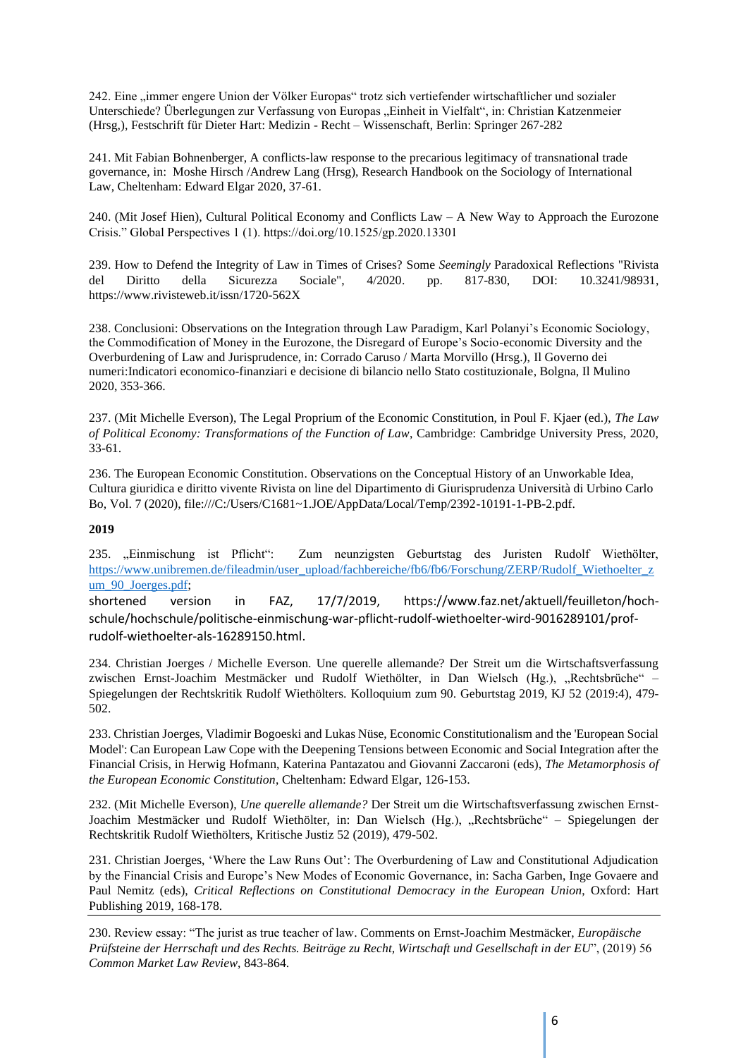242. Eine "immer engere Union der Völker Europas" trotz sich vertiefender wirtschaftlicher und sozialer Unterschiede? Überlegungen zur Verfassung von Europas "Einheit in Vielfalt", in: Christian Katzenmeier (Hrsg,), Festschrift für Dieter Hart: Medizin - Recht – Wissenschaft, Berlin: Springer 267-282

241. Mit Fabian Bohnenberger, A conflicts-law response to the precarious legitimacy of transnational trade governance, in: Moshe Hirsch /Andrew Lang (Hrsg), Research Handbook on the Sociology of International Law, Cheltenham: Edward Elgar 2020, 37-61.

240. (Mit Josef Hien), Cultural Political Economy and Conflicts Law – A New Way to Approach the Eurozone Crisis." Global Perspectives 1 (1). https://doi.org/10.1525/gp.2020.13301

239. How to Defend the Integrity of Law in Times of Crises? Some *Seemingly* Paradoxical Reflections ["Rivista](https://www.rivisteweb.it/issn/1720-562X/issue/8085)  [del Diritto della Sicurezza Sociale", 4/2020.](https://www.rivisteweb.it/issn/1720-562X/issue/8085) pp. 817-830, DOI: 10.3241/98931, https://www.rivisteweb.it/issn/1720-562X

238. Conclusioni: Observations on the Integration through Law Paradigm, Karl Polanyi's Economic Sociology, the Commodification of Money in the Eurozone, the Disregard of Europe's Socio-economic Diversity and the Overburdening of Law and Jurisprudence, in: Corrado Caruso / Marta Morvillo (Hrsg.), Il Governo dei numeri:Indicatori economico-finanziari e decisione di bilancio nello Stato costituzionale, Bolgna, Il Mulino 2020, 353-366.

237. (Mit Michelle Everson), The Legal Proprium of the Economic Constitution, in Poul F. Kjaer (ed.), *The Law of Political Economy: Transformations of the Function of Law*, Cambridge: Cambridge University Press, 2020, 33-61.

236. The European Economic Constitution. Observations on the Conceptual History of an Unworkable Idea, Cultura giuridica e diritto vivente Rivista on line del Dipartimento di Giurisprudenza Università di Urbino Carlo Bo, Vol. 7 (2020), file:///C:/Users/C1681~1.JOE/AppData/Local/Temp/2392-10191-1-PB-2.pdf.

#### **2019**

235. "Einmischung ist Pflicht": Zum neunzigsten Geburtstag des Juristen Rudolf Wiethölter, [https://www.unibremen.de/fileadmin/user\\_upload/fachbereiche/fb6/fb6/Forschung/ZERP/Rudolf\\_Wiethoelter\\_z](https://www.unibremen.de/fileadmin/user_upload/fachbereiche/fb6/fb6/Forschung/ZERP/Rudolf_Wiethoelter_zum_90_Joerges.pdf) um 90 Joerges.pdf;

shortened version in FAZ, 17/7/2019, [https://www.faz.net/aktuell/feuilleton/hoch](https://www.faz.net/aktuell/feuilleton/hoch-schule/hochschule/politische-einmischung-war-pflicht-rudolf-wiethoelter-wird-9016289101/prof-rudolf-wiethoelter-als-16289150.html)[schule/hochschule/politische-einmischung-war-pflicht-rudolf-wiethoelter-wird-9016289101/prof](https://www.faz.net/aktuell/feuilleton/hoch-schule/hochschule/politische-einmischung-war-pflicht-rudolf-wiethoelter-wird-9016289101/prof-rudolf-wiethoelter-als-16289150.html)[rudolf-wiethoelter-als-16289150.html.](https://www.faz.net/aktuell/feuilleton/hoch-schule/hochschule/politische-einmischung-war-pflicht-rudolf-wiethoelter-wird-9016289101/prof-rudolf-wiethoelter-als-16289150.html)

234. Christian Joerges / Michelle Everson. Une querelle allemande? Der Streit um die Wirtschaftsverfassung zwischen Ernst-Joachim Mestmäcker und Rudolf Wiethölter, in Dan Wielsch (Hg.), "Rechtsbrüche" – Spiegelungen der Rechtskritik Rudolf Wiethölters. Kolloquium zum 90. Geburtstag 2019, KJ 52 (2019:4), 479- 502.

233. Christian Joerges, Vladimir Bogoeski and Lukas Nüse, Economic Constitutionalism and the 'European Social Model': Can European Law Cope with the Deepening Tensions between Economic and Social Integration after the Financial Crisis, in Herwig Hofmann, Katerina Pantazatou and Giovanni Zaccaroni (eds), *The Metamorphosis of the European Economic Constitution*, Cheltenham: Edward Elgar, 126-153.

232. (Mit Michelle Everson), *Une querelle allemande?* Der Streit um die Wirtschaftsverfassung zwischen Ernst-Joachim Mestmäcker und Rudolf Wiethölter, in: Dan Wielsch (Hg.), "Rechtsbrüche" – Spiegelungen der Rechtskritik Rudolf Wiethölters, Kritische Justiz 52 (2019), 479-502.

231. Christian Joerges, 'Where the Law Runs Out': The Overburdening of Law and Constitutional Adjudication by the Financial Crisis and Europe's New Modes of Economic Governance, in: Sacha Garben, Inge Govaere and Paul Nemitz (eds), *Critical Reflections on Constitutional Democracy in the European Union*, Oxford: Hart Publishing 2019, 168-178.

230. Review essay: "The jurist as true teacher of law. Comments on Ernst-Joachim Mestmäcker, *Europäische Prüfsteine der Herrschaft und des Rechts. Beiträge zu Recht, Wirtschaft und Gesellschaft in der EU*", (2019) 56 *Common Market Law Review*, 843-864.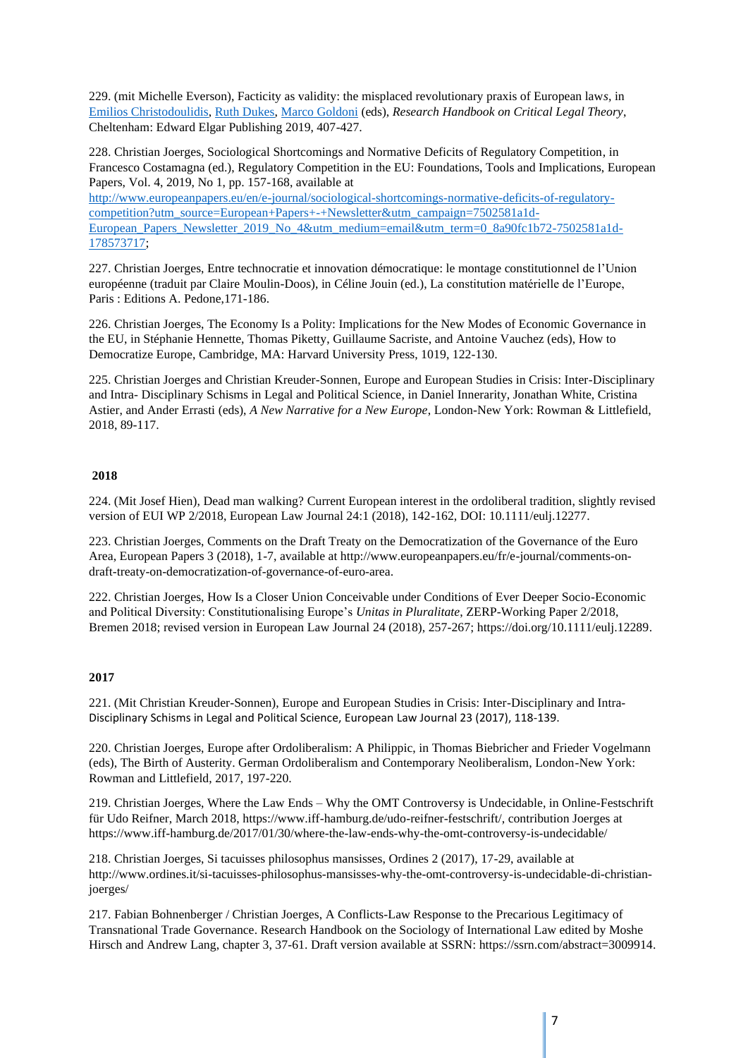229. (mit Michelle Everson), Facticity as validity: the misplaced revolutionary praxis of European law*s,* in [Emilios Christodoulidis,](https://www.google.de/search?hl=de&tbo=p&tbm=bks&q=inauthor:%22Emilios+Christodoulidis%22&source=gbs_metadata_r&cad=3) [Ruth Dukes,](https://www.google.de/search?hl=de&tbo=p&tbm=bks&q=inauthor:%22Ruth+Dukes%22&source=gbs_metadata_r&cad=3) [Marco Goldoni](https://www.google.de/search?hl=de&tbo=p&tbm=bks&q=inauthor:%22Marco+Goldoni%22&source=gbs_metadata_r&cad=3) (eds), *Research Handbook on Critical Legal Theory*, Cheltenham: Edward Elgar Publishing 2019, 407-427.

228. Christian Joerges, [Sociological Shortcomings and Normative Deficits of Regulatory Competition,](https://europeanpapers.us13.list-manage.com/track/click?u=5d1c2b7dbb35c6a2c905bc1b6&id=b8e5079b38&e=cf83d2f3a9) in Francesco Costamagna (ed.), Regulatory Competition in the EU: Foundations, Tools and Implications, European Papers, Vol. 4, 2019, No 1, pp. 157-168, available at

[http://www.europeanpapers.eu/en/e-journal/sociological-shortcomings-normative-deficits-of-regulatory](http://www.europeanpapers.eu/en/e-journal/sociological-shortcomings-normative-deficits-of-regulatory-competition?utm_source=European+Papers+-+Newsletter&utm_campaign=7502581a1d-European_Papers_Newsletter_2019_No_4&utm_medium=email&utm_term=0_8a90fc1b72-7502581a1d-178573717)[competition?utm\\_source=European+Papers+-+Newsletter&utm\\_campaign=7502581a1d-](http://www.europeanpapers.eu/en/e-journal/sociological-shortcomings-normative-deficits-of-regulatory-competition?utm_source=European+Papers+-+Newsletter&utm_campaign=7502581a1d-European_Papers_Newsletter_2019_No_4&utm_medium=email&utm_term=0_8a90fc1b72-7502581a1d-178573717)European Papers Newsletter 2019 No 4&utm\_medium=email&utm\_term=0\_8a90fc1b72-7502581a1d-[178573717;](http://www.europeanpapers.eu/en/e-journal/sociological-shortcomings-normative-deficits-of-regulatory-competition?utm_source=European+Papers+-+Newsletter&utm_campaign=7502581a1d-European_Papers_Newsletter_2019_No_4&utm_medium=email&utm_term=0_8a90fc1b72-7502581a1d-178573717)

227. Christian Joerges, Entre technocratie et innovation démocratique: le montage constitutionnel de l'Union européenne (traduit par Claire Moulin-Doos), in Céline Jouin (ed.), La constitution matérielle de l'Europe, Paris : Editions A. Pedone,171-186.

226. Christian Joerges, The Economy Is a Polity: Implications for the New Modes of Economic Governance in the EU, in Stéphanie Hennette, Thomas Piketty, Guillaume Sacriste, and Antoine Vauchez (eds), How to Democratize Europe, Cambridge, MA: Harvard University Press, 1019, 122-130.

225. Christian Joerges and Christian Kreuder-Sonnen, Europe and European Studies in Crisis: Inter-Disciplinary and Intra- Disciplinary Schisms in Legal and Political Science, in Daniel Innerarity, Jonathan White, Cristina Astier, and Ander Errasti (eds), *A New Narrative for a New Europe*, London-New York: Rowman & Littlefield, 2018, 89-117.

#### **2018**

224. (Mit Josef Hien), Dead man walking? Current European interest in the ordoliberal tradition, slightly revised version of EUI WP 2/2018, European Law Journal 24:1 (2018), 142-162, DOI: 10.1111/eulj.12277.

223. Christian Joerges, Comments on the Draft Treaty on the Democratization of the Governance of the Euro Area, European Papers 3 (2018), 1-7, available at http://www.europeanpapers.eu/fr/e-journal/comments-ondraft-treaty-on-democratization-of-governance-of-euro-area.

222. Christian Joerges, How Is a Closer Union Conceivable under Conditions of Ever Deeper Socio-Economic and Political Diversity: Constitutionalising Europe's *Unitas in Pluralitate*, ZERP-Working Paper 2/2018, Bremen 2018; revised version in European Law Journal 24 (2018), 257-267[; https://doi.org/10.1111/eulj.12289.](https://doi.org/10.1111/eulj.12289)

#### **2017**

221. (Mit Christian Kreuder-Sonnen), Europe and European Studies in Crisis: Inter-Disciplinary and Intra-Disciplinary Schisms in Legal and Political Science, European Law Journal 23 (2017), 118-139.

220. Christian Joerges, Europe after Ordoliberalism: A Philippic, in Thomas Biebricher and Frieder Vogelmann (eds), The Birth of Austerity. German Ordoliberalism and Contemporary Neoliberalism, London-New York: Rowman and Littlefield, 2017, 197-220.

219. Christian Joerges, Where the Law Ends – Why the OMT Controversy is Undecidable, in Online-Festschrift für Udo Reifner, March 2018, [https://www.iff-hamburg.de/udo-reifner-festschrift/,](https://www.iff-hamburg.de/udo-reifner-festschrift/) contribution Joerges at <https://www.iff-hamburg.de/2017/01/30/where-the-law-ends-why-the-omt-controversy-is-undecidable/>

218. Christian Joerges, Si tacuisses philosophus mansisses, Ordines 2 (2017), 17-29, available at http://www.ordines.it/si-tacuisses-philosophus-mansisses-why-the-omt-controversy-is-undecidable-di-christianjoerges/

217. Fabian Bohnenberger / Christian Joerges, A Conflicts-Law Response to the Precarious Legitimacy of Transnational Trade Governance. Research Handbook on the Sociology of International Law edited by Moshe Hirsch and Andrew Lang, chapter 3, 37-61. Draft version available at SSRN: [https://ssrn.com/abstract=3009914.](https://ssrn.com/abstract=3009914)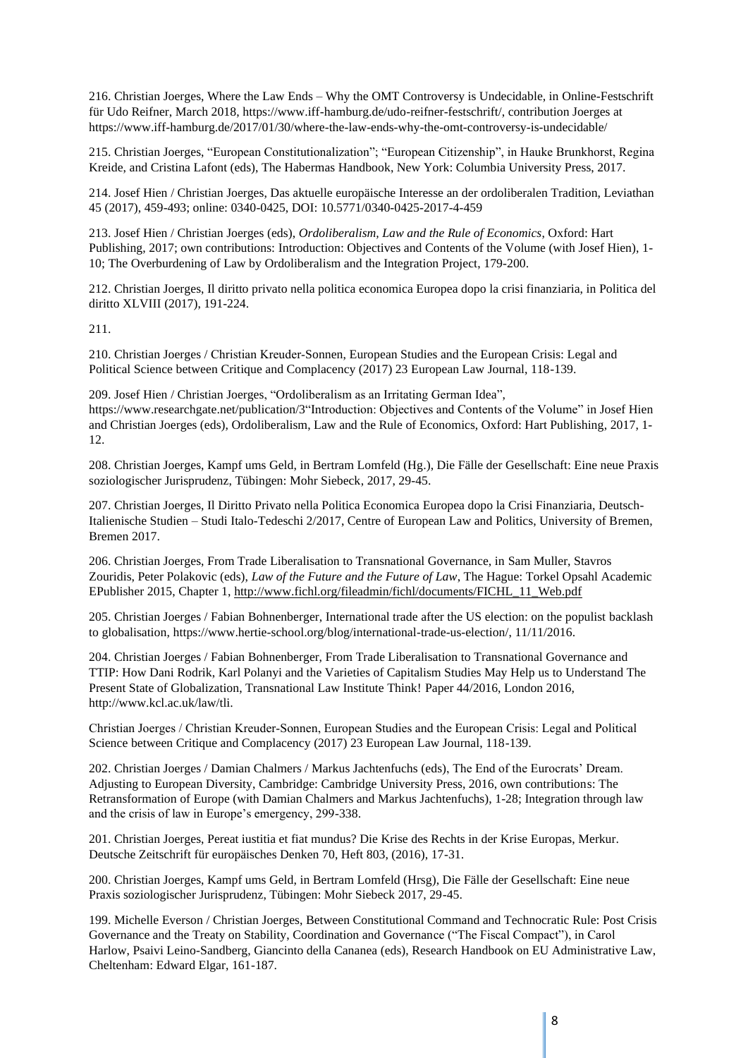216. Christian Joerges, Where the Law Ends – Why the OMT Controversy is Undecidable, in Online-Festschrift für Udo Reifner, March 2018, [https://www.iff-hamburg.de/udo-reifner-festschrift/,](https://www.iff-hamburg.de/udo-reifner-festschrift/) contribution Joerges at https://www.iff-hamburg.de/2017/01/30/where-the-law-ends-why-the-omt-controversy-is-undecidable/

215. Christian Joerges, "European Constitutionalization"; "European Citizenship", in Hauke Brunkhorst, Regina Kreide, and Cristina Lafont (eds), The Habermas Handbook, New York: Columbia University Press, 2017.

214. Josef Hien / Christian Joerges, Das aktuelle europäische Interesse an der ordoliberalen Tradition, Leviathan 45 (2017), 459-493; online: 0340-0425, DOI: [10.5771/0340-0425-2017-4-459](https://doi.org/10.5771/0340-0425-2017-4-459)

213. Josef Hien / Christian Joerges (eds), *Ordoliberalism, Law and the Rule of Economics*, Oxford: Hart Publishing, 2017; own contributions: Introduction: Objectives and Contents of the Volume (with Josef Hien), 1- 10; The Overburdening of Law by Ordoliberalism and the Integration Project, 179-200.

212. Christian Joerges, Il diritto privato nella politica economica Europea dopo la crisi finanziaria, in Politica del diritto XLVIII (2017), 191-224.

211.

210. Christian Joerges / Christian Kreuder‐Sonnen, European Studies and the European Crisis: Legal and Political Science between Critique and Complacency (2017) 23 European Law Journal, 118-139.

209. Josef Hien / Christian Joerges, "Ordoliberalism as an Irritating German Idea", https://www.researchgate.net/publication/3"Introduction: Objectives and Contents of the Volume" in Josef Hien and Christian Joerges (eds), Ordoliberalism, Law and the Rule of Economics, Oxford: Hart Publishing, 2017, 1- 12.

208. Christian Joerges, Kampf ums Geld, in Bertram Lomfeld (Hg.), Die Fälle der Gesellschaft: Eine neue Praxis soziologischer Jurisprudenz, Tübingen: Mohr Siebeck, 2017, 29-45.

207. Christian Joerges, Il Diritto Privato nella Politica Economica Europea dopo la Crisi Finanziaria, Deutsch-Italienische Studien – Studi Italo-Tedeschi 2/2017, Centre of European Law and Politics, University of Bremen, Bremen 2017.

206. Christian Joerges, From Trade Liberalisation to Transnational Governance, in Sam Muller, Stavros Zouridis, Peter Polakovic (eds), *Law of the Future and the Future of Law*, The Hague: Torkel Opsahl Academic EPublisher 2015, Chapter 1, [http://www.fichl.org/fileadmin/fichl/documents/FICHL\\_11\\_Web.pdf](http://www.fichl.org/fileadmin/fichl/documents/FICHL_11_Web.pdf)

205. Christian Joerges / Fabian Bohnenberger, International trade after the US election: on the populist backlash to globalisation, [https://www.hertie-school.org/blog/international-trade-us-election/,](https://www.hertie-school.org/blog/international-trade-us-election/) 11/11/2016.

204. Christian Joerges / Fabian Bohnenberger, From Trade Liberalisation to Transnational Governance and TTIP: How Dani Rodrik, Karl Polanyi and the Varieties of Capitalism Studies May Help us to Understand The Present State of Globalization, Transnational Law Institute Think! Paper 44/2016, London 2016, http://www.kcl.ac.uk/law/tli.

Christian Joerges / Christian Kreuder‐Sonnen, European Studies and the European Crisis: Legal and Political Science between Critique and Complacency (2017) 23 European Law Journal, 118-139.

202. Christian Joerges / Damian Chalmers / Markus Jachtenfuchs (eds), The End of the Eurocrats' Dream. Adjusting to European Diversity, Cambridge: Cambridge University Press, 2016, own contributions: The Retransformation of Europe (with Damian Chalmers and Markus Jachtenfuchs), 1-28; Integration through law and the crisis of law in Europe's emergency, 299-338.

201. Christian Joerges, Pereat iustitia et fiat mundus? Die Krise des Rechts in der Krise Europas, Merkur. Deutsche Zeitschrift für europäisches Denken 70, Heft 803, (2016), 17-31.

200. Christian Joerges, Kampf ums Geld, in Bertram Lomfeld (Hrsg), Die Fälle der Gesellschaft: Eine neue Praxis soziologischer Jurisprudenz, Tübingen: Mohr Siebeck 2017, 29-45.

199. Michelle Everson / Christian Joerges, Between Constitutional Command and Technocratic Rule: Post Crisis Governance and the Treaty on Stability, Coordination and Governance ("The Fiscal Compact"), in Carol Harlow, [Psaivi Leino-Sandberg,](https://www.google.de/search?hl=de&tbo=p&tbm=bks&q=inauthor:%22P.+della+Leino-Sandberg%22&source=gbs_metadata_r&cad=2) [Giancinto](https://www.google.de/search?hl=de&tbo=p&tbm=bks&q=inauthor:%22G.+Cananea%22&source=gbs_metadata_r&cad=2) della Cananea (eds), Research Handbook on EU Administrative Law, Cheltenham: Edward Elgar, 161-187.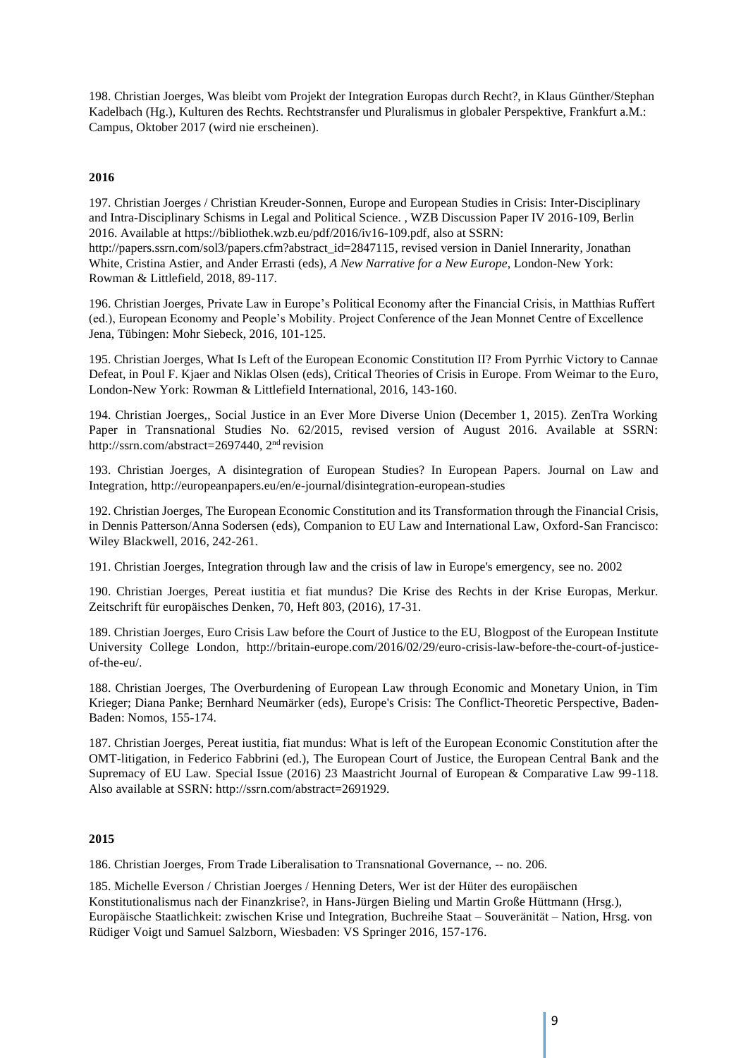198. Christian Joerges, Was bleibt vom Projekt der Integration Europas durch Recht?, in Klaus Günther/Stephan Kadelbach (Hg.), Kulturen des Rechts. Rechtstransfer und Pluralismus in globaler Perspektive, Frankfurt a.M.: Campus, Oktober 2017 (wird nie erscheinen).

#### **2016**

197. Christian Joerges / Christian Kreuder-Sonnen, Europe and European Studies in Crisis: Inter-Disciplinary and Intra-Disciplinary Schisms in Legal and Political Science. , WZB Discussion Paper IV 2016-109, Berlin 2016. Available at https://bibliothek.wzb.eu/pdf/2016/iv16-109.pdf, also at SSRN:

[http://papers.ssrn.com/sol3/papers.cfm?abstract\\_id=2847115,](http://papers.ssrn.com/sol3/papers.cfm?abstract_id=2847115) revised version in Daniel Innerarity, Jonathan White, Cristina Astier, and Ander Errasti (eds), *A New Narrative for a New Europe*, London-New York: Rowman & Littlefield, 2018, 89-117.

196. Christian Joerges, Private Law in Europe's Political Economy after the Financial Crisis, in Matthias Ruffert (ed.), European Economy and People's Mobility. Project Conference of the Jean Monnet Centre of Excellence Jena, Tübingen: Mohr Siebeck, 2016, 101-125.

195. Christian Joerges, What Is Left of the European Economic Constitution II? From Pyrrhic Victory to Cannae Defeat, in Poul F. Kjaer and Niklas Olsen (eds), Critical Theories of Crisis in Europe. From Weimar to the Euro, London-New York: Rowman & Littlefield International, 2016, 143-160.

194. Christian Joerges,, Social Justice in an Ever More Diverse Union (December 1, 2015). ZenTra Working Paper in Transnational Studies No. 62/2015, revised version of August 2016. Available at SSRN: [http://ssrn.com/abstract=2697440,](http://ssrn.com/abstract%3D2697440) 2nd revision

193. Christian Joerges, A disintegration of European Studies? In European Papers. Journal on Law and Integration,<http://europeanpapers.eu/en/e-journal/disintegration-european-studies>

192. Christian Joerges, The European Economic Constitution and its Transformation through the Financial Crisis, in Dennis Patterson/Anna Sodersen (eds), Companion to EU Law and International Law, Oxford-San Francisco: Wiley Blackwell, 2016, 242-261.

191. Christian Joerges, Integration through law and the crisis of law in Europe's emergency, see no. 2002

190. Christian Joerges, Pereat iustitia et fiat mundus? Die Krise des Rechts in der Krise Europas, Merkur. Zeitschrift für europäisches Denken, 70, Heft 803, (2016), 17-31.

189. Christian Joerges, Euro Crisis Law before the Court of Justice to the EU, Blogpost of the European Institute University College London, [http://britain-europe.com/2016/02/29/euro-crisis-law-before-the-court-of-justice](http://britain-europe.com/2016/02/29/euro-crisis-law-before-the-court-of-justice-of-the-eu/)[of-the-eu/.](http://britain-europe.com/2016/02/29/euro-crisis-law-before-the-court-of-justice-of-the-eu/)

188. Christian Joerges, The Overburdening of European Law through Economic and Monetary Union, in Tim Krieger; Diana Panke; Bernhard Neumärker (eds), Europe's Crisis: The Conflict-Theoretic Perspective, Baden-Baden: Nomos, 155-174.

187. Christian Joerges, Pereat iustitia, fiat mundus: What is left of the European Economic Constitution after the OMT-litigation, in Federico Fabbrini (ed.), The European Court of Justice, the European Central Bank and the Supremacy of EU Law. Special Issue (2016) 23 Maastricht Journal of European & Comparative Law 99-118. Also available at SSRN: [http://ssrn.com/abstract=2691929.](http://ssrn.com/abstract%3D2691929)

#### **2015**

186. Christian Joerges, From Trade Liberalisation to Transnational Governance, -- no. 206.

185. Michelle Everson / Christian Joerges / Henning Deters, Wer ist der Hüter des europäischen Konstitutionalismus nach der Finanzkrise?, in Hans-Jürgen Bieling und Martin Große Hüttmann (Hrsg.), Europäische Staatlichkeit: zwischen Krise und Integration, Buchreihe Staat – Souveränität – Nation, Hrsg. von Rüdiger Voigt und Samuel Salzborn, Wiesbaden: VS Springer 2016, 157-176.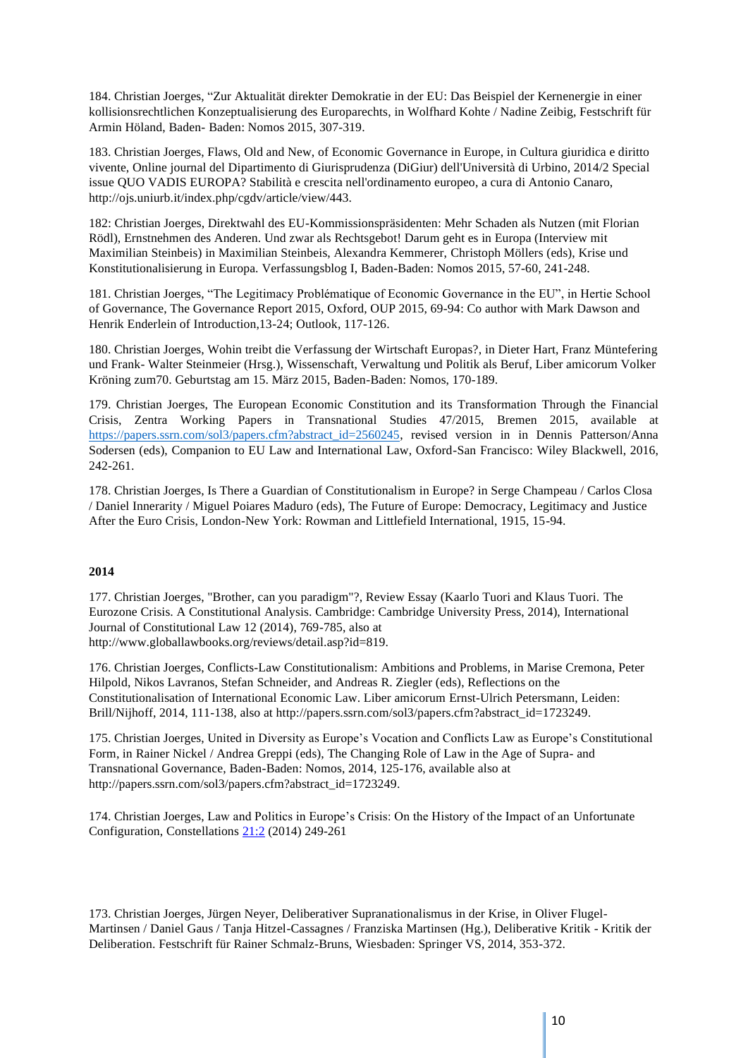184. Christian Joerges, "Zur Aktualität direkter Demokratie in der EU: Das Beispiel der Kernenergie in einer kollisionsrechtlichen Konzeptualisierung des Europarechts, in Wolfhard Kohte / Nadine Zeibig, Festschrift für Armin Höland, Baden- Baden: Nomos 2015, 307-319.

183. Christian Joerges, Flaws, Old and New, of Economic Governance in Europe, in Cultura giuridica e diritto vivente, Online journal del Dipartimento di Giurisprudenza (DiGiur) dell'Università di Urbino, 2014/2 Special issue QUO VADIS EUROPA? Stabilità e crescita nell'ordinamento europeo, a cura di Antonio Canaro, [http://ojs.uniurb.it/index.php/cgdv/article/view/443.](http://ojs.uniurb.it/index.php/cgdv/article/view/443)

182: Christian Joerges, Direktwahl des EU-Kommissionspräsidenten: Mehr Schaden als Nutzen (mit Florian Rödl), Ernstnehmen des Anderen. Und zwar als Rechtsgebot! Darum geht es in Europa (Interview mit Maximilian Steinbeis) in Maximilian Steinbeis, Alexandra Kemmerer, Christoph Möllers (eds), Krise und Konstitutionalisierung in Europa. Verfassungsblog I, Baden-Baden: Nomos 2015, 57-60, 241-248.

181. Christian Joerges, "The Legitimacy Problématique of Economic Governance in the EU", in Hertie School of Governance, The Governance Report 2015, Oxford, OUP 2015, 69-94: Co author with Mark Dawson and Henrik Enderlein of Introduction,13-24; Outlook, 117-126.

180. Christian Joerges, Wohin treibt die Verfassung der Wirtschaft Europas?, in Dieter Hart, Franz Müntefering und Frank- Walter Steinmeier (Hrsg.), Wissenschaft, Verwaltung und Politik als Beruf, Liber amicorum Volker Kröning zum70. Geburtstag am 15. März 2015, Baden-Baden: Nomos, 170-189.

179. Christian Joerges, The European Economic Constitution and its Transformation Through the Financial Crisis, Zentra Working Papers in Transnational Studies 47/2015, Bremen 2015, available at [https://papers.ssrn.com/sol3/papers.cfm?abstract\\_id=2560245,](https://papers.ssrn.com/sol3/papers.cfm?abstract_id=2560245) revised version in in Dennis Patterson/Anna Sodersen (eds), Companion to EU Law and International Law, Oxford-San Francisco: Wiley Blackwell, 2016, 242-261.

178. Christian Joerges, Is There a Guardian of Constitutionalism in Europe? in Serge Champeau / Carlos Closa / Daniel Innerarity / Miguel Poiares Maduro (eds), The Future of Europe: Democracy, Legitimacy and Justice After the Euro Crisis, London-New York: Rowman and Littlefield International, 1915, 15-94.

#### **2014**

177. Christian Joerges, "Brother, can you paradigm"?, Review Essay (Kaarlo Tuori and Klaus Tuori. The Eurozone Crisis. A Constitutional Analysis. Cambridge: Cambridge University Press, 2014), International Journal of Constitutional Law 12 (2014), 769-785, also at [http://www.globallawbooks.org/reviews/detail.asp?id=819.](http://www.globallawbooks.org/reviews/detail.asp?id=819)

176. Christian Joerges, Conflicts-Law Constitutionalism: Ambitions and Problems, in Marise Cremona, Peter Hilpold, Nikos Lavranos, Stefan Schneider, and Andreas R. Ziegler (eds), Reflections on the Constitutionalisation of International Economic Law. Liber amicorum Ernst-Ulrich Petersmann, Leiden: Brill/Nijhoff, 2014, 111-138, also at [http://papers.ssrn.com/sol3/papers.cfm?abstract\\_id=1723249.](http://papers.ssrn.com/sol3/papers.cfm?abstract_id=1723249)

175. Christian Joerges, United in Diversity as Europe's Vocation and Conflicts Law as Europe's Constitutional Form, in Rainer Nickel / Andrea Greppi (eds), The Changing Role of Law in the Age of Supra- and Transnational Governance, Baden-Baden: Nomos, 2014, 125-176, available also at [http://papers.ssrn.com/sol3/papers.cfm?abstract\\_id=1723249.](http://papers.ssrn.com/sol3/papers.cfm?abstract_id=1723249)

174. Christian Joerges, Law and Politics in Europe's Crisis: On the History of the Impact of an Unfortunate Configuration, Constellations [21:2](https://onlinelibrary.wiley.com/toc/14678675/2014/21/2) (2014) 249-261

173. Christian Joerges, Jürgen Neyer, Deliberativer Supranationalismus in der Krise, in Oliver Flugel-Martinsen / Daniel Gaus / Tanja Hitzel-Cassagnes / Franziska Martinsen (Hg.), Deliberative Kritik - Kritik der Deliberation. Festschrift für Rainer Schmalz-Bruns, Wiesbaden: Springer VS, 2014, 353-372.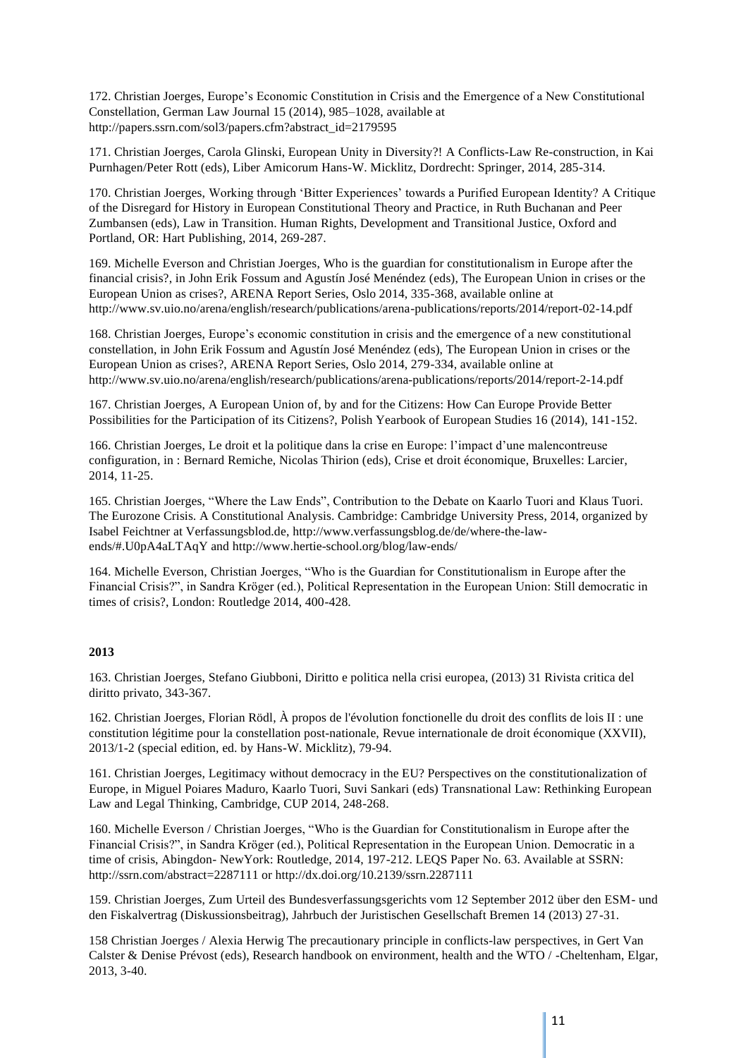172. Christian Joerges, Europe's Economic Constitution in Crisis and the Emergence of a New Constitutional Constellation, German Law Journal 15 (2014), 985–1028, available at [http://papers.ssrn.com/sol3/papers.cfm?abstract\\_id=2179595](http://papers.ssrn.com/sol3/papers.cfm?abstract_id=2179595)

171. Christian Joerges, Carola Glinski, European Unity in Diversity?! A Conflicts-Law Re-construction, in Kai Purnhagen/Peter Rott (eds), Liber Amicorum Hans-W. Micklitz, Dordrecht: Springer, 2014, 285-314.

170. Christian Joerges, Working through 'Bitter Experiences' towards a Purified European Identity? A Critique of the Disregard for History in European Constitutional Theory and Practice, in Ruth Buchanan and Peer Zumbansen (eds), Law in Transition. Human Rights, Development and Transitional Justice, Oxford and Portland, OR: Hart Publishing, 2014, 269-287.

169. Michelle Everson and Christian Joerges, Who is the guardian for constitutionalism in Europe after the financial crisis?, in John Erik Fossum and Agustín José Menéndez (eds), The European Union in crises or the European Union as crises?, ARENA Report Series, Oslo 2014, 335-368, available online at <http://www.sv.uio.no/arena/english/research/publications/arena-publications/reports/2014/report-02-14.pdf>

168. Christian Joerges, Europe's economic constitution in crisis and the emergence of a new constitutional constellation, in John Erik Fossum and Agustín José Menéndez (eds), The European Union in crises or the European Union as crises?, ARENA Report Series, Oslo 2014, 279-334, available online at <http://www.sv.uio.no/arena/english/research/publications/arena-publications/reports/2014/report-2-14.pdf>

167. Christian Joerges, A European Union of, by and for the Citizens: How Can Europe Provide Better Possibilities for the Participation of its Citizens?, Polish Yearbook of European Studies 16 (2014), 141-152.

166. Christian Joerges, Le droit et la politique dans la crise en Europe: l'impact d'une malencontreuse configuration, in : Bernard Remiche, Nicolas Thirion (eds), Crise et droit économique, Bruxelles: Larcier, 2014, 11-25.

165. Christian Joerges, "Where the Law Ends", Contribution to the Debate on Kaarlo Tuori and Klaus Tuori. The Eurozone Crisis. A Constitutional Analysis. Cambridge: Cambridge University Press, 2014, organized by Isabel Feichtner at Verfassungsblod.de, [http://www.verfassungsblog.de/de/where-the-law](http://www.verfassungsblog.de/de/where-the-law-ends/#.U0pA4aLTAqY)[ends/#.U0pA4aLTAqY](http://www.verfassungsblog.de/de/where-the-law-ends/#.U0pA4aLTAqY) and<http://www.hertie-school.org/blog/law-ends/>

164. Michelle Everson, Christian Joerges, "Who is the Guardian for Constitutionalism in Europe after the Financial Crisis?", in Sandra Kröger (ed.), Political Representation in the European Union: Still democratic in times of crisis?, London: Routledge 2014, 400-428.

#### **2013**

163. Christian Joerges, Stefano Giubboni, Diritto e politica nella crisi europea, (2013) 31 Rivista critica del diritto privato, 343-367.

162. Christian Joerges, Florian Rödl, À propos de l'évolution fonctionelle du droit des conflits de lois II : une constitution légitime pour la constellation post-nationale, Revue internationale de droit économique (XXVII), 2013/1-2 (special edition, ed. by Hans-W. Micklitz), 79-94.

161. Christian Joerges, Legitimacy without democracy in the EU? Perspectives on the constitutionalization of Europe, in Miguel Poiares Maduro, Kaarlo Tuori, Suvi Sankari (eds) Transnational Law: Rethinking European Law and Legal Thinking, Cambridge, CUP 2014, 248-268.

160. Michelle Everson / Christian Joerges, "Who is the Guardian for Constitutionalism in Europe after the Financial Crisis?", in Sandra Kröger (ed.), Political Representation in the European Union. Democratic in a time of crisis, Abingdon- NewYork: Routledge, 2014, 197-212. LEQS Paper No. 63. Available at SSRN: [http://ssrn.com/abstract=2287111](http://ssrn.com/abstract%3D2287111) or<http://dx.doi.org/10.2139/ssrn.2287111>

159. Christian Joerges, Zum Urteil des Bundesverfassungsgerichts vom 12 September 2012 über den ESM- und den Fiskalvertrag (Diskussionsbeitrag), Jahrbuch der Juristischen Gesellschaft Bremen 14 (2013) 27-31.

158 Christian Joerges / Alexia Herwig The precautionary principle in conflicts-law perspectives, in Gert Van Calster & Denise Prévost (eds), Research handbook on environment, health and the WTO / -Cheltenham, Elgar, 2013, 3-40.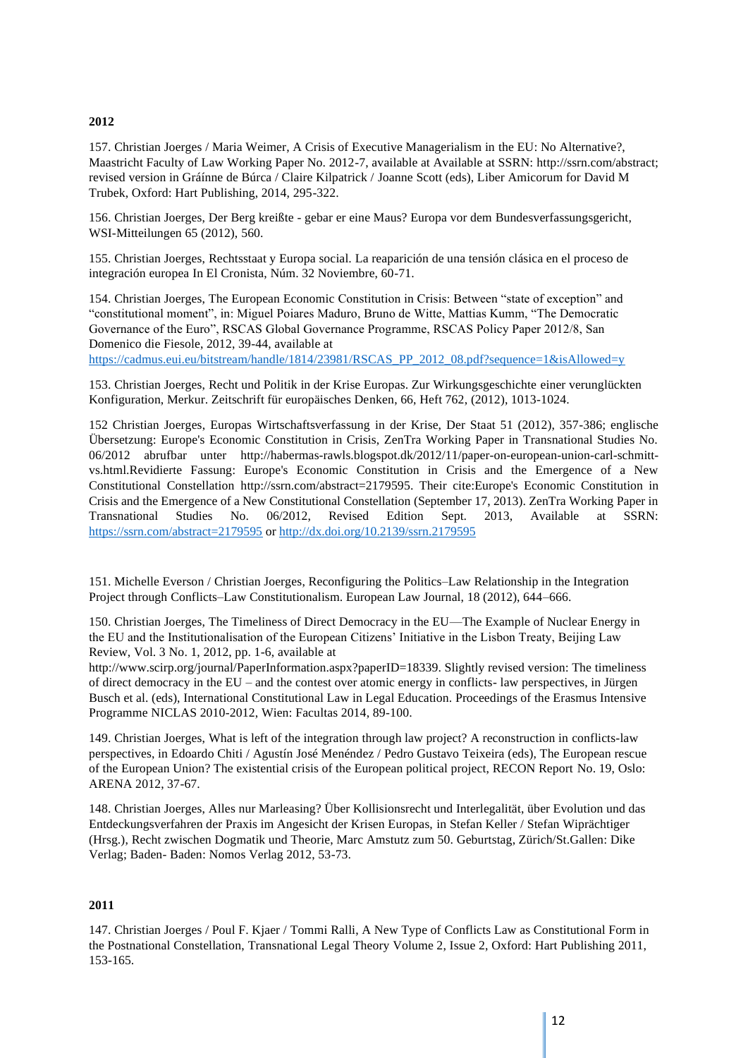#### **2012**

157. Christian Joerges / Maria Weimer, A Crisis of Executive Managerialism in the EU: No Alternative?, Maastricht Faculty of Law Working Paper No. 2012-7, available at Available at SSRN: [http://ssrn.com/abstract;](http://ssrn.com/abstract%3B) [re](http://ssrn.com/abstract%3B)vised version in Gráínne de Búrca / Claire Kilpatrick / Joanne Scott (eds), Liber Amicorum for David M Trubek, Oxford: Hart Publishing, 2014, 295-322.

156. Christian Joerges, Der Berg kreißte - gebar er eine Maus? Europa vor dem Bundesverfassungsgericht, WSI-Mitteilungen 65 (2012), 560.

155. Christian Joerges, Rechtsstaat y Europa social. La reaparición de una tensión clásica en el proceso de integración europea In El Cronista, Núm. 32 Noviembre, 60-71.

154. Christian Joerges, The European Economic Constitution in Crisis: Between "state of exception" and "constitutional moment", in: Miguel Poiares Maduro, Bruno de Witte, Mattias Kumm, "The Democratic Governance of the Euro", RSCAS Global Governance Programme, RSCAS Policy Paper 2012/8, San Domenico die Fiesole, 2012, 39-44, available at

[https://cadmus.eui.eu/bitstream/handle/1814/23981/RSCAS\\_PP\\_2012\\_08.pdf?sequence=1&isAllowed=y](https://cadmus.eui.eu/bitstream/handle/1814/23981/RSCAS_PP_2012_08.pdf?sequence=1&isAllowed=y)

153. Christian Joerges, Recht und Politik in der Krise Europas. Zur Wirkungsgeschichte einer verunglückten Konfiguration, Merkur. Zeitschrift für europäisches Denken, 66, Heft 762, (2012), 1013-1024.

152 Christian Joerges, Europas Wirtschaftsverfassung in der Krise, Der Staat 51 (2012), 357-386; englische Übersetzung: Europe's Economic Constitution in Crisis, ZenTra Working Paper in Transnational Studies No. 06/2012 abrufbar unter [http://habermas-rawls.blogspot.dk/2012/11/paper-on-european-union-carl-schmitt](http://habermas-rawls.blogspot.dk/2012/11/paper-on-european-union-carl-schmitt-vs.html.Revidierte)[vs.html.Revidierte](http://habermas-rawls.blogspot.dk/2012/11/paper-on-european-union-carl-schmitt-vs.html.Revidierte) Fassung: Europe's Economic Constitution in Crisis and the Emergence of a New Constitutional Constellation [http://ssrn.com/abstract=2179595.](http://ssrn.com/abstract%3D2179595) Their cite:Europe's Economic Constitution in Crisis and the Emergence of a New Constitutional Constellation (September 17, 2013). ZenTra Working Paper in Transnational Studies No. 06/2012, Revised Edition Sept. 2013, Available at SSRN: <https://ssrn.com/abstract=2179595> or [http://dx.doi.org/10.2139/ssrn.2179595](https://dx.doi.org/10.2139/ssrn.2179595) 

151. Michelle Everson / Christian Joerges, Reconfiguring the Politics–Law Relationship in the Integration Project through Conflicts–Law Constitutionalism. European Law Journal, 18 (2012), 644–666.

150. Christian Joerges, The Timeliness of Direct Democracy in the EU—The Example of Nuclear Energy in the EU and the Institutionalisation of the European Citizens' Initiative in the Lisbon Treaty, Beijing Law Review, Vol. 3 No. 1, 2012, pp. 1-6, available at

[http://www.scirp.org/journal/PaperInformation.aspx?paperID=18339. S](http://www.scirp.org/journal/PaperInformation.aspx?paperID=18339)lightly revised version: The timeliness of direct democracy in the EU – and the contest over atomic energy in conflicts- law perspectives, in Jürgen Busch et al. (eds), International Constitutional Law in Legal Education. Proceedings of the Erasmus Intensive Programme NICLAS 2010-2012, Wien: Facultas 2014, 89-100.

149. Christian Joerges, What is left of the integration through law project? A reconstruction in conflicts-law perspectives, in Edoardo Chiti / Agustín José Menéndez / Pedro Gustavo Teixeira (eds), The European rescue of the European Union? The existential crisis of the European political project, RECON Report No. 19, Oslo: ARENA 2012, 37-67.

148. Christian Joerges, Alles nur Marleasing? Über Kollisionsrecht und Interlegalität, über Evolution und das Entdeckungsverfahren der Praxis im Angesicht der Krisen Europas, in Stefan Keller / Stefan Wiprächtiger (Hrsg.), Recht zwischen Dogmatik und Theorie, Marc Amstutz zum 50. Geburtstag, Zürich/St.Gallen: Dike Verlag; Baden- Baden: Nomos Verlag 2012, 53-73.

#### **2011**

147. Christian Joerges / Poul F. Kjaer / Tommi Ralli, A New Type of Conflicts Law as Constitutional Form in the Postnational Constellation, Transnational Legal Theory Volume 2, Issue 2, Oxford: Hart Publishing 2011, 153-165.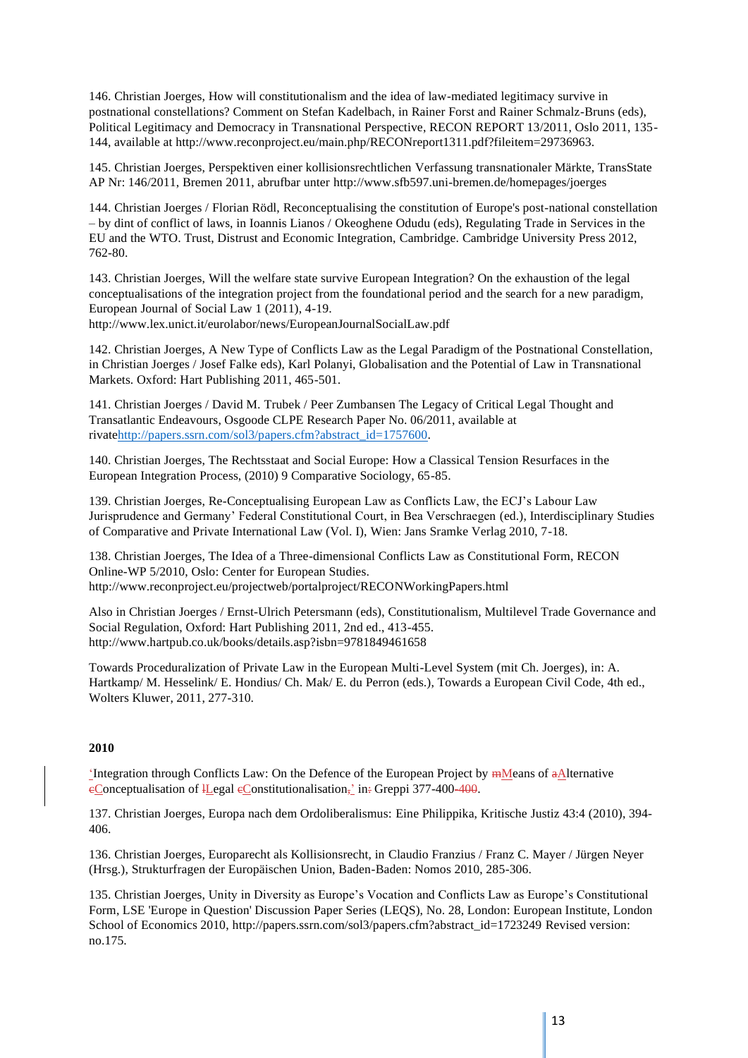146. Christian Joerges, How will constitutionalism and the idea of law-mediated legitimacy survive in postnational constellations? Comment on Stefan Kadelbach, in Rainer Forst and Rainer Schmalz-Bruns (eds), Political Legitimacy and Democracy in Transnational Perspective, RECON REPORT 13/2011, Oslo 2011, 135- 144, available at [http://www.reconproject.eu/main.php/RECONreport1311.pdf?fileitem=29736963.](http://www.reconproject.eu/main.php/RECONreport1311.pdf?fileitem=29736963)

145. Christian Joerges, Perspektiven einer kollisionsrechtlichen Verfassung transnationaler Märkte, TransState AP Nr: 146/2011, Bremen 2011, abrufbar unter<http://www.sfb597.uni-bremen.de/homepages/joerges>

144. Christian Joerges / Florian Rödl, Reconceptualising the constitution of Europe's post-national constellation – by dint of conflict of laws, in Ioannis Lianos / Okeoghene Odudu (eds), Regulating Trade in Services in the EU and the WTO. Trust, Distrust and Economic Integration, Cambridge. Cambridge University Press 2012, 762-80.

143. Christian Joerges, Will the welfare state survive European Integration? On the exhaustion of the legal conceptualisations of the integration project from the foundational period and the search for a new paradigm, European Journal of Social Law 1 (2011), 4-19.

<http://www.lex.unict.it/eurolabor/news/EuropeanJournalSocialLaw.pdf>

142. Christian Joerges, A New Type of Conflicts Law as the Legal Paradigm of the Postnational Constellation, in Christian Joerges / Josef Falke eds), Karl Polanyi, Globalisation and the Potential of Law in Transnational Markets. Oxford: Hart Publishing 2011, 465-501.

141. Christian Joerges / David M. Trubek / Peer Zumbansen The Legacy of Critical Legal Thought and Transatlantic Endeavours, Osgoode CLPE Research Paper No. 06/2011, available at rivat[ehttp://papers.ssrn.com/sol3/papers.cfm?abstract\\_id=1757600.](http://papers.ssrn.com/sol3/papers.cfm?abstract_id=1757600)

140. Christian Joerges, The Rechtsstaat and Social Europe: How a Classical Tension Resurfaces in the European Integration Process, (2010) 9 Comparative Sociology, 65-85.

139. Christian Joerges, Re-Conceptualising European Law as Conflicts Law, the ECJ's Labour Law Jurisprudence and Germany' Federal Constitutional Court, in Bea Verschraegen (ed.), Interdisciplinary Studies of Comparative and Private International Law (Vol. I), Wien: Jans Sramke Verlag 2010, 7-18.

138. Christian Joerges, The Idea of a Three-dimensional Conflicts Law as Constitutional Form, RECON Online-WP 5/2010, Oslo: Center for European Studies. <http://www.reconproject.eu/projectweb/portalproject/RECONWorkingPapers.html>

Also in Christian Joerges / Ernst-Ulrich Petersmann (eds), Constitutionalism, Multilevel Trade Governance and Social Regulation, Oxford: Hart Publishing 2011, 2nd ed., 413-455. <http://www.hartpub.co.uk/books/details.asp?isbn=9781849461658>

Towards Proceduralization of Private Law in the European Multi-Level System (mit Ch. Joerges), in: A. Hartkamp/ M. Hesselink/ E. Hondius/ Ch. Mak/ E. du Perron (eds.), Towards a European Civil Code, 4th ed., Wolters Kluwer, 2011, 277-310.

#### **2010**

'Integration through Conflicts Law: On the Defence of the European Project by  $m$ Means of  $a$ Alternative eConceptualisation of *Legal* eConstitutionalisation<sub>7</sub><sup>2</sup> in: Greppi 377-400-400.

137. Christian Joerges, Europa nach dem Ordoliberalismus: Eine Philippika, Kritische Justiz 43:4 (2010), 394- 406.

136. Christian Joerges, Europarecht als Kollisionsrecht, in Claudio Franzius / Franz C. Mayer / Jürgen Neyer (Hrsg.), Strukturfragen der Europäischen Union, Baden-Baden: Nomos 2010, 285-306.

135. Christian Joerges, Unity in Diversity as Europe's Vocation and Conflicts Law as Europe's Constitutional Form, LSE 'Europe in Question' Discussion Paper Series (LEQS), No. 28, London: European Institute, London School of Economics 2010, [http://papers.ssrn.com/sol3/papers.cfm?abstract\\_id=1723249](http://papers.ssrn.com/sol3/papers.cfm?abstract_id=1723249) Revised version: no.175.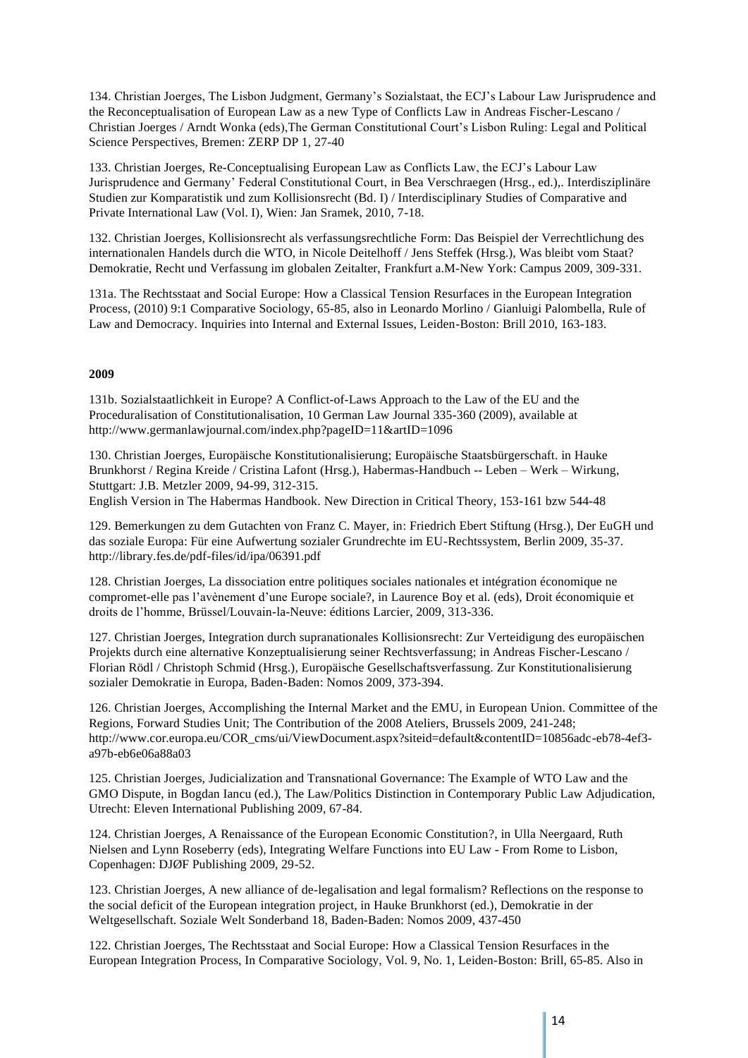134. Christian Joerges, The Lisbon Judgment, Germany's Sozialstaat, the ECJ's Labour Law Jurisprudence and the Reconceptualisation of European Law as a new Type of Conflicts Law in Andreas Fischer-Lescano / Christian Joerges / Arndt Wonka (eds),The German Constitutional Court's Lisbon Ruling: Legal and Political Science Perspectives, Bremen: ZERP DP 1, 27-40

133. Christian Joerges, Re-Conceptualising European Law as Conflicts Law, the ECJ's Labour Law Jurisprudence and Germany' Federal Constitutional Court, in Bea Verschraegen (Hrsg., ed.),. Interdisziplinäre Studien zur Komparatistik und zum Kollisionsrecht (Bd. I) / Interdisciplinary Studies of Comparative and Private International Law (Vol. I), Wien: Jan Sramek, 2010, 7-18.

132. Christian Joerges, Kollisionsrecht als verfassungsrechtliche Form: Das Beispiel der Verrechtlichung des internationalen Handels durch die WTO, in Nicole Deitelhoff / Jens Steffek (Hrsg.), Was bleibt vom Staat? Demokratie, Recht und Verfassung im globalen Zeitalter, Frankfurt a.M-New York: Campus 2009, 309-331.

131a. The Rechtsstaat and Social Europe: How a Classical Tension Resurfaces in the European Integration Process, (2010) 9:1 Comparative Sociology, 65-85, also in Leonardo Morlino / Gianluigi Palombella, Rule of Law and Democracy. Inquiries into Internal and External Issues, Leiden-Boston: Brill 2010, 163-183.

#### **2009**

131b. Sozialstaatlichkeit in Europe? A Conflict-of-Laws Approach to the Law of the EU and the Proceduralisation of Constitutionalisation, 10 German Law Journal 335-360 (2009), available at <http://www.germanlawjournal.com/index.php?pageID=11&artID=1096>

130. Christian Joerges, Europäische Konstitutionalisierung; Europäische Staatsbürgerschaft. in Hauke Brunkhorst / Regina Kreide / Cristina Lafont (Hrsg.), Habermas-Handbuch -- Leben – Werk – Wirkung, Stuttgart: J.B. Metzler 2009, 94-99, 312-315.

English Version in The Habermas Handbook. New Direction in Critical Theory, 153-161 bzw 544-48

129. Bemerkungen zu dem Gutachten von Franz C. Mayer, in: Friedrich Ebert Stiftung (Hrsg.), Der EuGH und das soziale Europa: Für eine Aufwertung sozialer Grundrechte im EU-Rechtssystem, Berlin 2009, 35-37. <http://library.fes.de/pdf-files/id/ipa/06391.pdf>

128. Christian Joerges, La dissociation entre politiques sociales nationales et intégration économique ne compromet-elle pas l'avènement d'une Europe sociale?, in Laurence Boy et al. (eds), Droit économiquie et droits de l'homme, Brüssel/Louvain-la-Neuve: éditions Larcier, 2009, 313-336.

127. Christian Joerges, Integration durch supranationales Kollisionsrecht: Zur Verteidigung des europäischen Projekts durch eine alternative Konzeptualisierung seiner Rechtsverfassung; in Andreas Fischer-Lescano / Florian Rödl / Christoph Schmid (Hrsg.), Europäische Gesellschaftsverfassung. Zur Konstitutionalisierung sozialer Demokratie in Europa, Baden-Baden: Nomos 2009, 373-394.

126. Christian Joerges, Accomplishing the Internal Market and the EMU, in European Union. Committee of the Regions, Forward Studies Unit; The Contribution of the 2008 Ateliers, Brussels 2009, 241-248; [http://www.cor.europa.eu/COR\\_cms/ui/ViewDocument.aspx?siteid=default&contentID=10856adc-eb78-4ef3](http://www.cor.europa.eu/COR_cms/ui/ViewDocument.aspx?siteid=default&contentID=10856adc-eb78-4ef3-) a97b-eb6e06a88a03

125. Christian Joerges, Judicialization and Transnational Governance: The Example of WTO Law and the GMO Dispute, in Bogdan Iancu (ed.), The Law/Politics Distinction in Contemporary Public Law Adjudication, Utrecht: Eleven International Publishing 2009, 67-84.

124. Christian Joerges, A Renaissance of the European Economic Constitution?, in Ulla Neergaard, Ruth Nielsen and Lynn Roseberry (eds), Integrating Welfare Functions into EU Law - From Rome to Lisbon, Copenhagen: DJØF Publishing 2009, 29-52.

123. Christian Joerges, A new alliance of de-legalisation and legal formalism? Reflections on the response to the social deficit of the European integration project, in Hauke Brunkhorst (ed.), Demokratie in der Weltgesellschaft. Soziale Welt Sonderband 18, Baden-Baden: Nomos 2009, 437-450

122. Christian Joerges, The Rechtsstaat and Social Europe: How a Classical Tension Resurfaces in the European Integration Process, In Comparative Sociology, Vol. 9, No. 1, Leiden-Boston: Brill, 65-85. Also in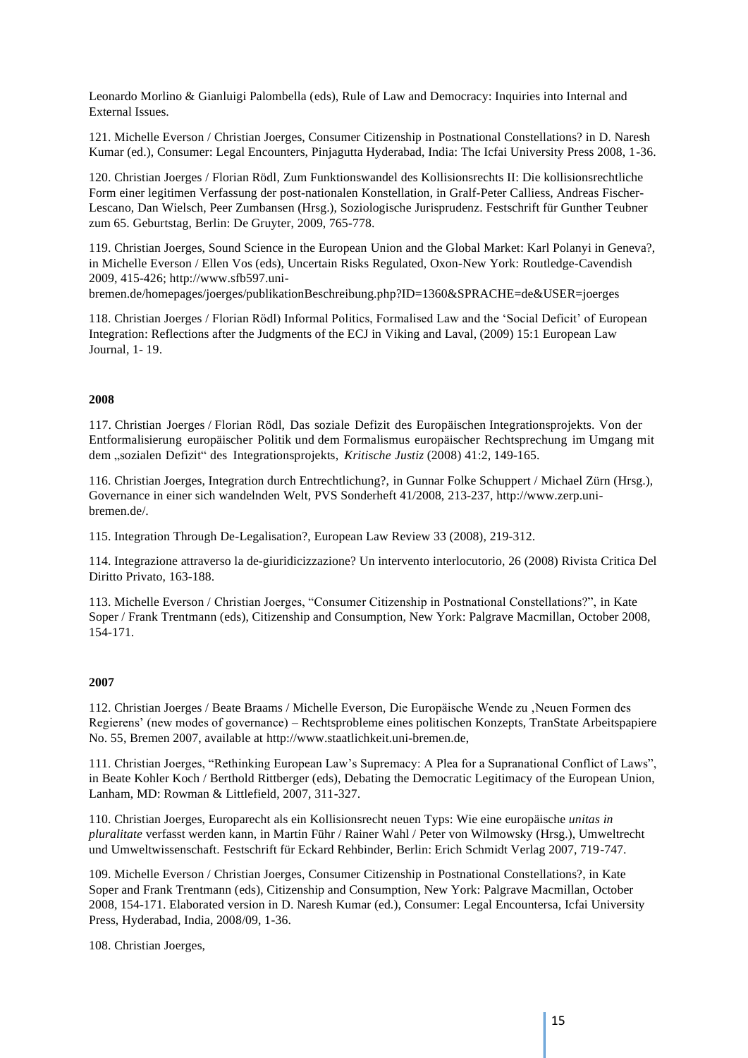Leonardo Morlino & Gianluigi Palombella (eds), Rule of Law and Democracy: Inquiries into Internal and External Issues.

121. Michelle Everson / Christian Joerges, Consumer Citizenship in Postnational Constellations? in D. Naresh Kumar (ed.), Consumer: Legal Encounters, Pinjagutta Hyderabad, India: The Icfai University Press 2008, 1-36.

120. Christian Joerges / Florian Rödl, Zum Funktionswandel des Kollisionsrechts II: Die kollisionsrechtliche Form einer legitimen Verfassung der post-nationalen Konstellation, in Gralf-Peter Calliess, Andreas Fischer-Lescano, Dan Wielsch, Peer Zumbansen (Hrsg.), Soziologische Jurisprudenz. Festschrift für Gunther Teubner zum 65. Geburtstag, Berlin: De Gruyter, 2009, 765-778.

119. Christian Joerges, Sound Science in the European Union and the Global Market: Karl Polanyi in Geneva?, in Michelle Everson / Ellen Vos (eds), Uncertain Risks Regulated, Oxon-New York: Routledge-Cavendish 2009, 415-426; [http://www.sfb597.uni-](http://www.sfb597.uni-/)

bremen.de/homepages/joerges/publikationBeschreibung.php?ID=1360&SPRACHE=de&USER=joerges

118. Christian Joerges / Florian Rödl) Informal Politics, Formalised Law and the 'Social Deficit' of European Integration: Reflections after the Judgments of the ECJ in Viking and Laval, (2009) 15:1 European Law Journal, 1- 19.

#### **2008**

117. Christian Joerges / Florian Rödl, Das soziale Defizit des Europäischen Integrationsprojekts. Von der Entformalisierung europäischer Politik und dem Formalismus europäischer Rechtsprechung im Umgang mit dem "sozialen Defizit" des Integrationsprojekts, *Kritische Justiz* (2008) 41:2, 149-165.

116. Christian Joerges, Integration durch Entrechtlichung?, in Gunnar Folke Schuppert / Michael Zürn (Hrsg.), Governance in einer sich wandelnden Welt, PVS Sonderheft 41/2008, 213-237, [http://www.zerp.uni](http://www.zerp.uni-/)bremen.de/.

115. Integration Through De-Legalisation?, European Law Review 33 (2008), 219-312.

114. Integrazione attraverso la de-giuridicizzazione? Un intervento interlocutorio, 26 (2008) Rivista Critica Del Diritto Privato, 163-188.

113. Michelle Everson / Christian Joerges, "Consumer Citizenship in Postnational Constellations?", in Kate Soper / Frank Trentmann (eds), Citizenship and Consumption, New York: Palgrave Macmillan, October 2008, 154-171.

#### **2007**

112. Christian Joerges / Beate Braams / Michelle Everson, Die Europäische Wende zu 'Neuen Formen des Regierens' (new modes of governance) – Rechtsprobleme eines politischen Konzepts, TranState Arbeitspapiere No. 55, Bremen 2007, available at [http://www.staatlichkeit.uni-bremen.de,](http://www.staatlichkeit.uni-bremen.de/) 

111. Christian Joerges, "Rethinking European Law's Supremacy: A Plea for a Supranational Conflict of Laws", in Beate Kohler Koch / Berthold Rittberger (eds), Debating the Democratic Legitimacy of the European Union, Lanham, MD: Rowman & Littlefield, 2007, 311-327.

110. Christian Joerges, Europarecht als ein Kollisionsrecht neuen Typs: Wie eine europäische *unitas in pluralitate* verfasst werden kann, in Martin Führ / Rainer Wahl / Peter von Wilmowsky (Hrsg.), Umweltrecht und Umweltwissenschaft. Festschrift für Eckard Rehbinder, Berlin: Erich Schmidt Verlag 2007, 719-747.

109. Michelle Everson / Christian Joerges, Consumer Citizenship in Postnational Constellations?, in Kate Soper and Frank Trentmann (eds), Citizenship and Consumption, New York: Palgrave Macmillan, October 2008, 154-171. Elaborated version in D. Naresh Kumar (ed.), Consumer: Legal Encountersa, Icfai University Press, Hyderabad, India, 2008/09, 1-36.

108. Christian Joerges,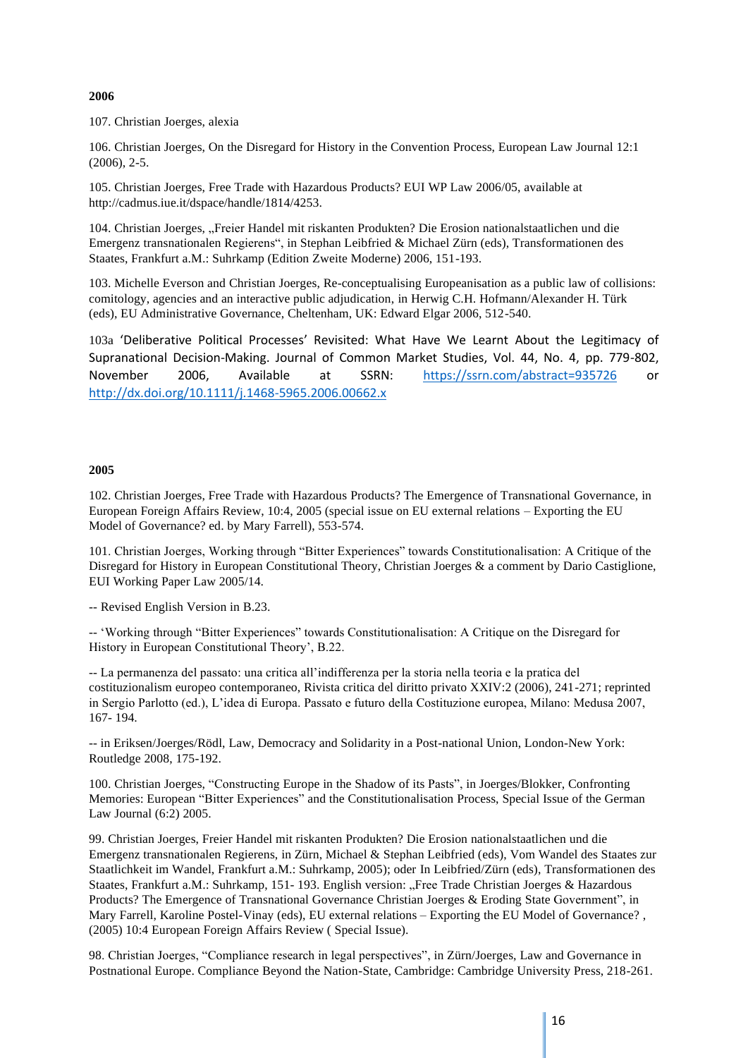#### **2006**

107. Christian Joerges, alexia

106. Christian Joerges, On the Disregard for History in the Convention Process, European Law Journal 12:1 (2006), 2-5.

105. Christian Joerges, Free Trade with Hazardous Products? EUI WP Law 2006/05, available at [http://cadmus.iue.it/dspace/handle/1814/4253.](http://cadmus.iue.it/dspace/handle/1814/4253)

104. Christian Joerges, "Freier Handel mit riskanten Produkten? Die Erosion nationalstaatlichen und die Emergenz transnationalen Regierens", in Stephan Leibfried & Michael Zürn (eds), Transformationen des Staates, Frankfurt a.M.: Suhrkamp (Edition Zweite Moderne) 2006, 151-193.

103. Michelle Everson and Christian Joerges, Re-conceptualising Europeanisation as a public law of collisions: comitology, agencies and an interactive public adjudication, in Herwig C.H. Hofmann/Alexander H. Türk (eds), EU Administrative Governance, Cheltenham, UK: Edward Elgar 2006, 512-540.

103a 'Deliberative Political Processes' Revisited: What Have We Learnt About the Legitimacy of Supranational Decision-Making. Journal of Common Market Studies, Vol. 44, No. 4, pp. 779-802, November 2006, Available at SSRN: <https://ssrn.com/abstract=935726> or [http://dx.doi.org/10.1111/j.1468-5965.2006.00662.x](https://dx.doi.org/10.1111/j.1468-5965.2006.00662.x) 

#### **2005**

102. Christian Joerges, Free Trade with Hazardous Products? The Emergence of Transnational Governance, in European Foreign Affairs Review, 10:4, 2005 (special issue on EU external relations – Exporting the EU Model of Governance? ed. by Mary Farrell), 553-574.

101. Christian Joerges, Working through "Bitter Experiences" towards Constitutionalisation: A Critique of the Disregard for History in European Constitutional Theory, Christian Joerges & a comment by Dario Castiglione, EUI Working Paper Law 2005/14.

-- Revised English Version in B.23.

-- 'Working through "Bitter Experiences" towards Constitutionalisation: A Critique on the Disregard for History in European Constitutional Theory', B.22.

-- La permanenza del passato: una critica all'indifferenza per la storia nella teoria e la pratica del costituzionalism europeo contemporaneo, Rivista critica del diritto privato XXIV:2 (2006), 241-271; reprinted in Sergio Parlotto (ed.), L'idea di Europa. Passato e futuro della Costituzione europea, Milano: Medusa 2007, 167- 194.

-- in Eriksen/Joerges/Rödl, Law, Democracy and Solidarity in a Post-national Union, London-New York: Routledge 2008, 175-192.

100. Christian Joerges, "Constructing Europe in the Shadow of its Pasts", in Joerges/Blokker, Confronting Memories: European "Bitter Experiences" and the Constitutionalisation Process, Special Issue of the German Law Journal (6:2) 2005.

99. Christian Joerges, Freier Handel mit riskanten Produkten? Die Erosion nationalstaatlichen und die Emergenz transnationalen Regierens, in Zürn, Michael & Stephan Leibfried (eds), Vom Wandel des Staates zur Staatlichkeit im Wandel, Frankfurt a.M.: Suhrkamp, 2005); oder In Leibfried/Zürn (eds), Transformationen des Staates, Frankfurt a.M.: Suhrkamp, 151-193. English version: "Free Trade Christian Joerges & Hazardous Products? The Emergence of Transnational Governance Christian Joerges & Eroding State Government", in Mary Farrell, Karoline Postel-Vinay (eds), EU external relations – Exporting the EU Model of Governance? , (2005) 10:4 European Foreign Affairs Review ( Special Issue).

98. Christian Joerges, "Compliance research in legal perspectives", in Zürn/Joerges, Law and Governance in Postnational Europe. Compliance Beyond the Nation-State, Cambridge: Cambridge University Press, 218-261.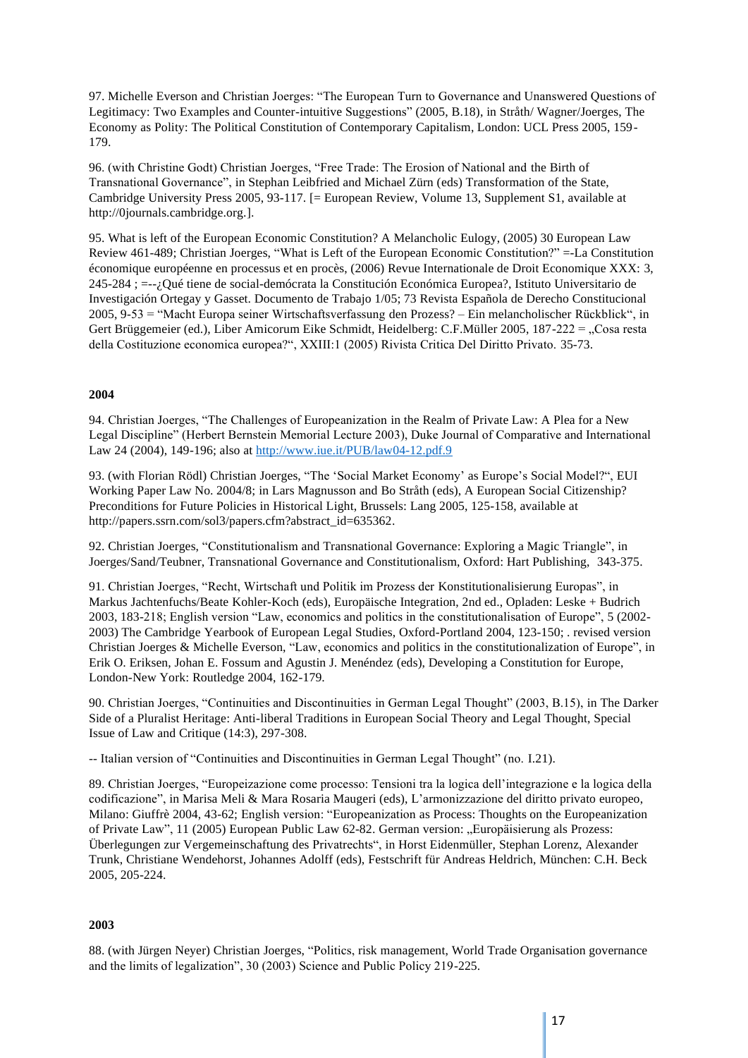97. Michelle Everson and Christian Joerges: "The European Turn to Governance and Unanswered Questions of Legitimacy: Two Examples and Counter-intuitive Suggestions" (2005, B.18), in Stråth/ Wagner/Joerges, The Economy as Polity: The Political Constitution of Contemporary Capitalism, London: UCL Press 2005, 159- 179.

96. (with Christine Godt) Christian Joerges, "Free Trade: The Erosion of National and the Birth of Transnational Governance", in Stephan Leibfried and Michael Zürn (eds) Transformation of the State, Cambridge University Press 2005, 93-117. [= European Review, Volume 13, Supplement S1, available at [http://0journals.cambridge.org.\]](http://0journals.cambridge.org/).

95. What is left of the European Economic Constitution? A Melancholic Eulogy, (2005) 30 European Law Review 461-489; Christian Joerges, "What is Left of the European Economic Constitution?" =-La Constitution économique européenne en processus et en procès, (2006) Revue Internationale de Droit Economique XXX: 3, 245-284 ; =--¿Qué tiene de social-demócrata la Constitución Económica Europea?, Istituto Universitario de Investigación Ortegay y Gasset. Documento de Trabajo 1/05; 73 Revista Española de Derecho Constitucional 2005, 9-53 = "Macht Europa seiner Wirtschaftsverfassung den Prozess? – Ein melancholischer Rückblick", in Gert Brüggemeier (ed.), Liber Amicorum Eike Schmidt, Heidelberg: C.F.Müller 2005, 187-222 = "Cosa resta della Costituzione economica europea?", XXIII:1 (2005) Rivista Critica Del Diritto Privato. 35-73.

#### **2004**

94. Christian Joerges, "The Challenges of Europeanization in the Realm of Private Law: A Plea for a New Legal Discipline" (Herbert Bernstein Memorial Lecture 2003), Duke Journal of Comparative and International Law 24 (2004), 149-196; also at<http://www.iue.it/PUB/law04-12.pdf.9>

93. (with Florian Rödl) Christian Joerges, "The 'Social Market Economy' as Europe's Social Model?", EUI Working Paper Law No. 2004/8; in Lars Magnusson and Bo Stråth (eds), A European Social Citizenship? Preconditions for Future Policies in Historical Light, Brussels: Lang 2005, 125-158, available at http://papers.ssrn.com/sol3/papers.cfm?abstract\_id=635362.

92. Christian Joerges, "Constitutionalism and Transnational Governance: Exploring a Magic Triangle", in Joerges/Sand/Teubner, Transnational Governance and Constitutionalism, Oxford: Hart Publishing, 343-375.

91. Christian Joerges, "Recht, Wirtschaft und Politik im Prozess der Konstitutionalisierung Europas", in Markus Jachtenfuchs/Beate Kohler-Koch (eds), Europäische Integration, 2nd ed., Opladen: Leske + Budrich 2003, 183-218; English version "Law, economics and politics in the constitutionalisation of Europe", 5 (2002- 2003) The Cambridge Yearbook of European Legal Studies, Oxford-Portland 2004, 123-150; . revised version Christian Joerges & Michelle Everson, "Law, economics and politics in the constitutionalization of Europe", in Erik O. Eriksen, Johan E. Fossum and Agustin J. Menéndez (eds), Developing a Constitution for Europe, London-New York: Routledge 2004, 162-179.

90. Christian Joerges, "Continuities and Discontinuities in German Legal Thought" (2003, B.15), in The Darker Side of a Pluralist Heritage: Anti-liberal Traditions in European Social Theory and Legal Thought, Special Issue of Law and Critique (14:3), 297-308.

-- Italian version of "Continuities and Discontinuities in German Legal Thought" (no. I.21).

89. Christian Joerges, "Europeizazione come processo: Tensioni tra la logica dell'integrazione e la logica della codificazione", in Marisa Meli & Mara Rosaria Maugeri (eds), L'armonizzazione del diritto privato europeo, Milano: Giuffrè 2004, 43-62; English version: "Europeanization as Process: Thoughts on the Europeanization of Private Law", 11 (2005) European Public Law 62-82. German version: "Europäisierung als Prozess: Überlegungen zur Vergemeinschaftung des Privatrechts", in Horst Eidenmüller, Stephan Lorenz, Alexander Trunk, Christiane Wendehorst, Johannes Adolff (eds), Festschrift für Andreas Heldrich, München: C.H. Beck 2005, 205-224.

#### **2003**

88. (with Jürgen Neyer) Christian Joerges, "Politics, risk management, World Trade Organisation governance and the limits of legalization", 30 (2003) Science and Public Policy 219-225.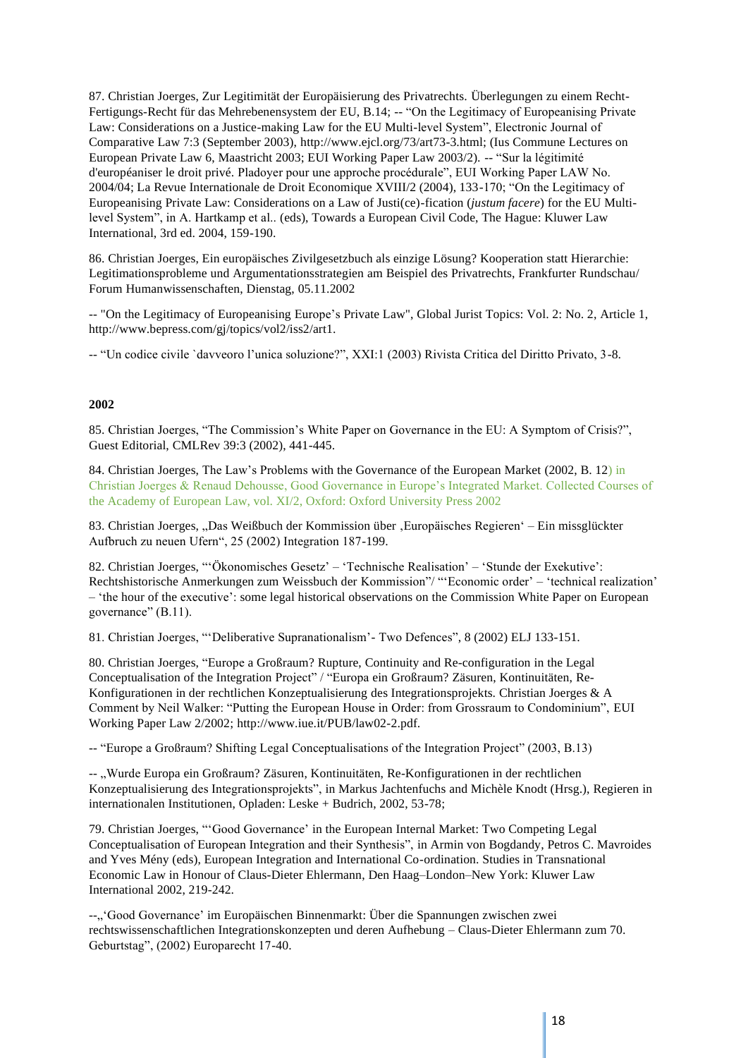87. Christian Joerges, Zur Legitimität der Europäisierung des Privatrechts. Überlegungen zu einem Recht-Fertigungs-Recht für das Mehrebenensystem der EU, B.14; -- "On the Legitimacy of Europeanising Private Law: Considerations on a Justice-making Law for the EU Multi-level System", Electronic Journal of Comparative Law 7:3 (September 2003), [http://www.ejcl.org/73/art73-3.html;](http://www.ejcl.org/73/art73-3.html%3B) (Ius Commune Lectures on European Private Law 6, Maastricht 2003; EUI Working Paper Law 2003/2). -- "Sur la légitimité d'européaniser le droit privé. Pladoyer pour une approche procédurale", EUI Working Paper LAW No. 2004/04; La Revue Internationale de Droit Economique XVIII/2 (2004), 133-170; "On the Legitimacy of Europeanising Private Law: Considerations on a Law of Justi(ce)-fication (*justum facere*) for the EU Multilevel System", in A. Hartkamp et al.. (eds), Towards a European Civil Code, The Hague: Kluwer Law International, 3rd ed. 2004, 159-190.

86. Christian Joerges, Ein europäisches Zivilgesetzbuch als einzige Lösung? Kooperation statt Hierarchie: Legitimationsprobleme und Argumentationsstrategien am Beispiel des Privatrechts, Frankfurter Rundschau/ Forum Humanwissenschaften, Dienstag, 05.11.2002

-- "On the Legitimacy of Europeanising Europe's Private Law", Global Jurist Topics: Vol. 2: No. 2, Article 1, [http://www.bepress.com/gj/topics/vol2/iss2/art1.](http://www.bepress.com/gj/topics/vol2/iss2/art1)

-- "Un codice civile `davveoro l'unica soluzione?", XXI:1 (2003) Rivista Critica del Diritto Privato, 3-8.

#### **2002**

85. Christian Joerges, "The Commission's White Paper on Governance in the EU: A Symptom of Crisis?", Guest Editorial, CMLRev 39:3 (2002), 441-445.

84. Christian Joerges, The Law's Problems with the Governance of the European Market (2002, B. 12) in Christian Joerges & Renaud Dehousse, Good Governance in Europe's Integrated Market. Collected Courses of the Academy of European Law, vol. XI/2, Oxford: Oxford University Press 2002

83. Christian Joerges, "Das Weißbuch der Kommission über "Europäisches Regieren' – Ein missglückter Aufbruch zu neuen Ufern", 25 (2002) Integration 187-199.

82. Christian Joerges, "'Ökonomisches Gesetz' – 'Technische Realisation' – 'Stunde der Exekutive': Rechtshistorische Anmerkungen zum Weissbuch der Kommission"/ "'Economic order' – 'technical realization' – 'the hour of the executive': some legal historical observations on the Commission White Paper on European governance" (B.11).

81. Christian Joerges, "'Deliberative Supranationalism'- Two Defences", 8 (2002) ELJ 133-151.

80. Christian Joerges, "Europe a Großraum? Rupture, Continuity and Re-configuration in the Legal Conceptualisation of the Integration Project" / "Europa ein Großraum? Zäsuren, Kontinuitäten, Re-Konfigurationen in der rechtlichen Konzeptualisierung des Integrationsprojekts. Christian Joerges & A Comment by Neil Walker: "Putting the European House in Order: from Grossraum to Condominium", EUI Working Paper Law 2/2002; [http://www.iue.it/PUB/law02-2.pdf.](http://www.iue.it/PUB/law02-2.pdf) 

-- "Europe a Großraum? Shifting Legal Conceptualisations of the Integration Project" (2003, B.13)

-- "Wurde Europa ein Großraum? Zäsuren, Kontinuitäten, Re-Konfigurationen in der rechtlichen Konzeptualisierung des Integrationsprojekts", in Markus Jachtenfuchs and Michèle Knodt (Hrsg.), Regieren in internationalen Institutionen, Opladen: Leske + Budrich, 2002, 53-78;

79. Christian Joerges, "'Good Governance' in the European Internal Market: Two Competing Legal Conceptualisation of European Integration and their Synthesis", in Armin von Bogdandy, Petros C. Mavroides and Yves Mény (eds), European Integration and International Co-ordination. Studies in Transnational Economic Law in Honour of Claus-Dieter Ehlermann, Den Haag–London–New York: Kluwer Law International 2002, 219-242.

--"'Good Governance' im Europäischen Binnenmarkt: Über die Spannungen zwischen zwei rechtswissenschaftlichen Integrationskonzepten und deren Aufhebung – Claus-Dieter Ehlermann zum 70. Geburtstag", (2002) Europarecht 17-40.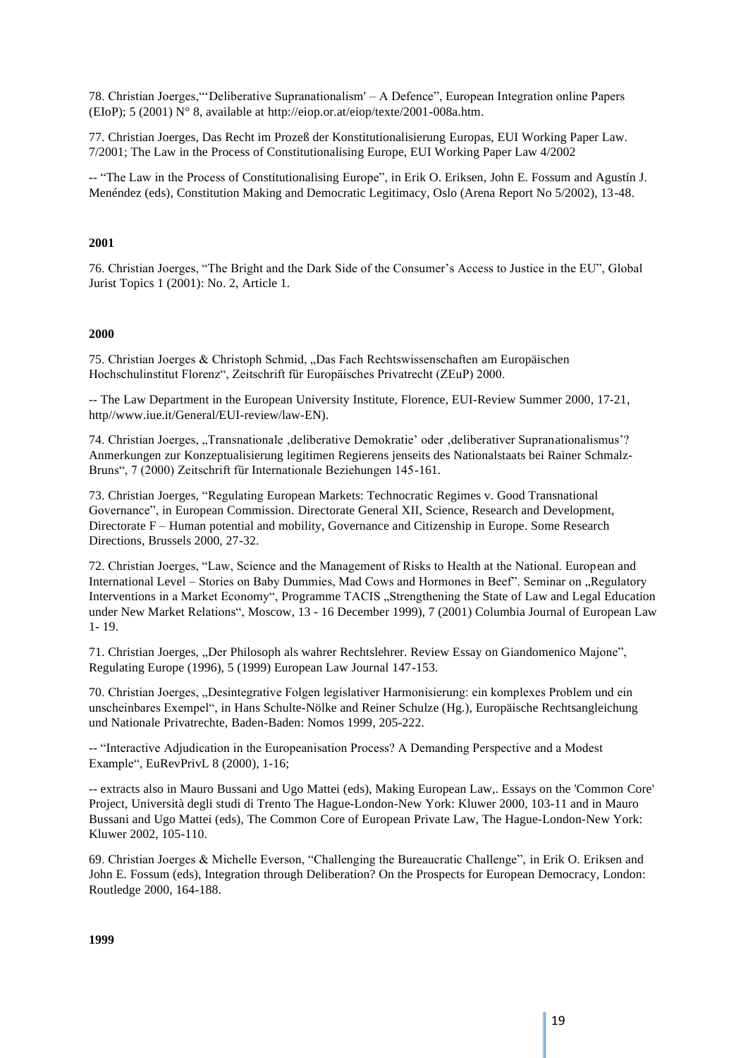78. Christian Joerges,"'Deliberative Supranationalism' – A Defence", European Integration online Papers (EIoP); 5 (2001) N° 8, available at [http://eiop.or.at/eiop/texte/2001-008a.htm.](http://eiop.or.at/eiop/texte/2001-008a.htm)

77. Christian Joerges, Das Recht im Prozeß der Konstitutionalisierung Europas, EUI Working Paper Law. 7/2001; The Law in the Process of Constitutionalising Europe, EUI Working Paper Law 4/2002

-- "The Law in the Process of Constitutionalising Europe", in Erik O. Eriksen, John E. Fossum and Agustín J. Menéndez (eds), Constitution Making and Democratic Legitimacy, Oslo (Arena Report No 5/2002), 13-48.

#### **2001**

76. Christian Joerges, "The Bright and the Dark Side of the Consumer's Access to Justice in the EU", Global Jurist Topics 1 (2001): No. 2, Article 1.

#### **2000**

75. Christian Joerges & Christoph Schmid, "Das Fach Rechtswissenschaften am Europäischen Hochschulinstitut Florenz", Zeitschrift für Europäisches Privatrecht (ZEuP) 2000.

-- The Law Department in the European University Institute, Florence, EUI-Review Summer 2000, 17-21, http/[/www.iue.it/General/EUI-review/law-EN\).](http://www.iue.it/General/EUI-review/law-EN))

74. Christian Joerges, "Transnationale , deliberative Demokratie' oder , deliberativer Supranationalismus'? Anmerkungen zur Konzeptualisierung legitimen Regierens jenseits des Nationalstaats bei Rainer Schmalz-Bruns", 7 (2000) Zeitschrift für Internationale Beziehungen 145-161.

73. Christian Joerges, "Regulating European Markets: Technocratic Regimes v. Good Transnational Governance", in European Commission. Directorate General XII, Science, Research and Development, Directorate F – Human potential and mobility, Governance and Citizenship in Europe. Some Research Directions, Brussels 2000, 27-32.

72. Christian Joerges, "Law, Science and the Management of Risks to Health at the National. European and International Level – Stories on Baby Dummies, Mad Cows and Hormones in Beef". Seminar on "Regulatory Interventions in a Market Economy", Programme TACIS "Strengthening the State of Law and Legal Education under New Market Relations", Moscow, 13 - 16 December 1999), 7 (2001) Columbia Journal of European Law 1- 19.

71. Christian Joerges, "Der Philosoph als wahrer Rechtslehrer. Review Essay on Giandomenico Majone", Regulating Europe (1996), 5 (1999) European Law Journal 147-153.

70. Christian Joerges, "Desintegrative Folgen legislativer Harmonisierung: ein komplexes Problem und ein unscheinbares Exempel", in Hans Schulte-Nölke and Reiner Schulze (Hg.), Europäische Rechtsangleichung und Nationale Privatrechte, Baden-Baden: Nomos 1999, 205-222.

-- "Interactive Adjudication in the Europeanisation Process? A Demanding Perspective and a Modest Example", EuRevPrivL 8 (2000), 1-16;

-- extracts also in Mauro Bussani and Ugo Mattei (eds), Making European Law,. Essays on the 'Common Core' Project, Università degli studi di Trento The Hague-London-New York: Kluwer 2000, 103-11 and in Mauro Bussani and Ugo Mattei (eds), The Common Core of European Private Law, The Hague-London-New York: Kluwer 2002, 105-110.

69. Christian Joerges & Michelle Everson, "Challenging the Bureaucratic Challenge", in Erik O. Eriksen and John E. Fossum (eds), Integration through Deliberation? On the Prospects for European Democracy, London: Routledge 2000, 164-188.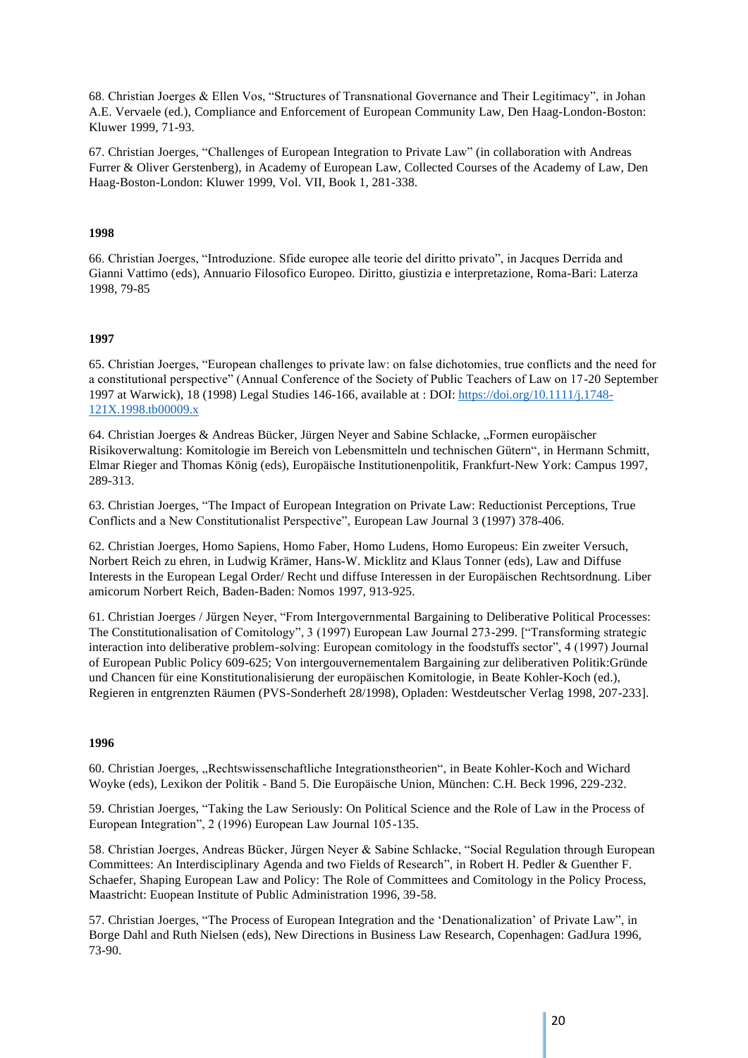68. Christian Joerges & Ellen Vos, "Structures of Transnational Governance and Their Legitimacy", in Johan A.E. Vervaele (ed.), Compliance and Enforcement of European Community Law, Den Haag-London-Boston: Kluwer 1999, 71-93.

67. Christian Joerges, "Challenges of European Integration to Private Law" (in collaboration with Andreas Furrer & Oliver Gerstenberg), in Academy of European Law, Collected Courses of the Academy of Law, Den Haag-Boston-London: Kluwer 1999, Vol. VII, Book 1, 281-338.

#### **1998**

66. Christian Joerges, "Introduzione. Sfide europee alle teorie del diritto privato", in Jacques Derrida and Gianni Vattimo (eds), Annuario Filosofico Europeo. Diritto, giustizia e interpretazione, Roma-Bari: Laterza 1998, 79-85

#### **1997**

65. Christian Joerges, "European challenges to private law: on false dichotomies, true conflicts and the need for a constitutional perspective" (Annual Conference of the Society of Public Teachers of Law on 17-20 September 1997 at Warwick), 18 (1998) Legal Studies 146-166, available at : DOI: [https://doi.org/10.1111/j.1748-](https://doi.org/10.1111/j.1748-121X.1998.tb00009.x) [121X.1998.tb00009.x](https://doi.org/10.1111/j.1748-121X.1998.tb00009.x)

64. Christian Joerges & Andreas Bücker, Jürgen Neyer and Sabine Schlacke, "Formen europäischer Risikoverwaltung: Komitologie im Bereich von Lebensmitteln und technischen Gütern", in Hermann Schmitt, Elmar Rieger and Thomas König (eds), Europäische Institutionenpolitik, Frankfurt-New York: Campus 1997, 289-313.

63. Christian Joerges, "The Impact of European Integration on Private Law: Reductionist Perceptions, True Conflicts and a New Constitutionalist Perspective", European Law Journal 3 (1997) 378-406.

62. Christian Joerges, Homo Sapiens, Homo Faber, Homo Ludens, Homo Europeus: Ein zweiter Versuch, Norbert Reich zu ehren, in Ludwig Krämer, Hans-W. Micklitz and Klaus Tonner (eds), Law and Diffuse Interests in the European Legal Order/ Recht und diffuse Interessen in der Europäischen Rechtsordnung. Liber amicorum Norbert Reich, Baden-Baden: Nomos 1997, 913-925.

61. Christian Joerges / Jürgen Neyer, "From Intergovernmental Bargaining to Deliberative Political Processes: The Constitutionalisation of Comitology", 3 (1997) European Law Journal 273-299. ["Transforming strategic interaction into deliberative problem-solving: European comitology in the foodstuffs sector", 4 (1997) Journal of European Public Policy 609-625; Von intergouvernementalem Bargaining zur deliberativen Politik:Gründe und Chancen für eine Konstitutionalisierung der europäischen Komitologie, in Beate Kohler-Koch (ed.), Regieren in entgrenzten Räumen (PVS-Sonderheft 28/1998), Opladen: Westdeutscher Verlag 1998, 207-233].

#### **1996**

60. Christian Joerges, "Rechtswissenschaftliche Integrationstheorien", in Beate Kohler-Koch and Wichard Woyke (eds), Lexikon der Politik - Band 5. Die Europäische Union, München: C.H. Beck 1996, 229-232.

59. Christian Joerges, "Taking the Law Seriously: On Political Science and the Role of Law in the Process of European Integration", 2 (1996) European Law Journal 105-135.

58. Christian Joerges, Andreas Bücker, Jürgen Neyer & Sabine Schlacke, "Social Regulation through European Committees: An Interdisciplinary Agenda and two Fields of Research", in Robert H. Pedler & Guenther F. Schaefer, Shaping European Law and Policy: The Role of Committees and Comitology in the Policy Process, Maastricht: Euopean Institute of Public Administration 1996, 39-58.

57. Christian Joerges, "The Process of European Integration and the 'Denationalization' of Private Law", in Borge Dahl and Ruth Nielsen (eds), New Directions in Business Law Research, Copenhagen: GadJura 1996, 73-90.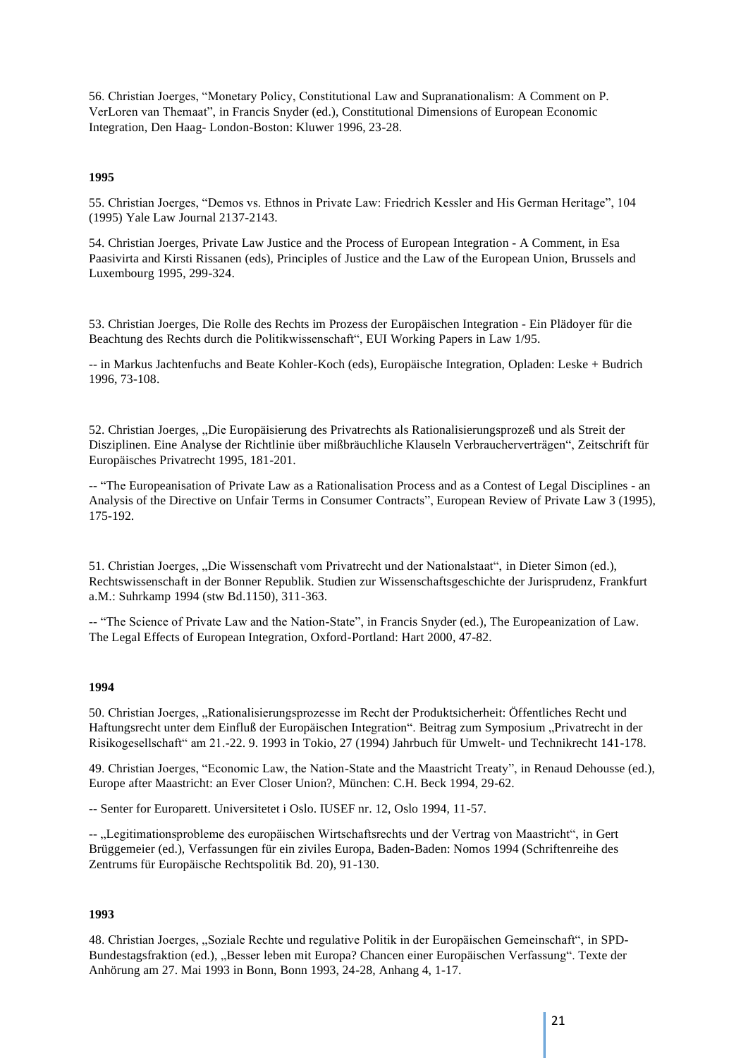56. Christian Joerges, "Monetary Policy, Constitutional Law and Supranationalism: A Comment on P. VerLoren van Themaat", in Francis Snyder (ed.), Constitutional Dimensions of European Economic Integration, Den Haag- London-Boston: Kluwer 1996, 23-28.

#### **1995**

55. Christian Joerges, "Demos vs. Ethnos in Private Law: Friedrich Kessler and His German Heritage", 104 (1995) Yale Law Journal 2137-2143.

54. Christian Joerges, Private Law Justice and the Process of European Integration - A Comment, in Esa Paasivirta and Kirsti Rissanen (eds), Principles of Justice and the Law of the European Union, Brussels and Luxembourg 1995, 299-324.

53. Christian Joerges, Die Rolle des Rechts im Prozess der Europäischen Integration - Ein Plädoyer für die Beachtung des Rechts durch die Politikwissenschaft", EUI Working Papers in Law 1/95.

-- in Markus Jachtenfuchs and Beate Kohler-Koch (eds), Europäische Integration, Opladen: Leske + Budrich 1996, 73-108.

52. Christian Joerges, "Die Europäisierung des Privatrechts als Rationalisierungsprozeß und als Streit der Disziplinen. Eine Analyse der Richtlinie über mißbräuchliche Klauseln Verbraucherverträgen", Zeitschrift für Europäisches Privatrecht 1995, 181-201.

-- "The Europeanisation of Private Law as a Rationalisation Process and as a Contest of Legal Disciplines - an Analysis of the Directive on Unfair Terms in Consumer Contracts", European Review of Private Law 3 (1995), 175-192.

51. Christian Joerges, "Die Wissenschaft vom Privatrecht und der Nationalstaat", in Dieter Simon (ed.), Rechtswissenschaft in der Bonner Republik. Studien zur Wissenschaftsgeschichte der Jurisprudenz, Frankfurt a.M.: Suhrkamp 1994 (stw Bd.1150), 311-363.

-- "The Science of Private Law and the Nation-State", in Francis Snyder (ed.), The Europeanization of Law. The Legal Effects of European Integration, Oxford-Portland: Hart 2000, 47-82.

#### **1994**

50. Christian Joerges, "Rationalisierungsprozesse im Recht der Produktsicherheit: Öffentliches Recht und Haftungsrecht unter dem Einfluß der Europäischen Integration". Beitrag zum Symposium "Privatrecht in der Risikogesellschaft" am 21.-22. 9. 1993 in Tokio, 27 (1994) Jahrbuch für Umwelt- und Technikrecht 141-178.

49. Christian Joerges, "Economic Law, the Nation-State and the Maastricht Treaty", in Renaud Dehousse (ed.), Europe after Maastricht: an Ever Closer Union?, München: C.H. Beck 1994, 29-62.

-- Senter for Europarett. Universitetet i Oslo. IUSEF nr. 12, Oslo 1994, 11-57.

-- "Legitimationsprobleme des europäischen Wirtschaftsrechts und der Vertrag von Maastricht", in Gert Brüggemeier (ed.), Verfassungen für ein ziviles Europa, Baden-Baden: Nomos 1994 (Schriftenreihe des Zentrums für Europäische Rechtspolitik Bd. 20), 91-130.

#### **1993**

48. Christian Joerges, "Soziale Rechte und regulative Politik in der Europäischen Gemeinschaft", in SPD-Bundestagsfraktion (ed.), "Besser leben mit Europa? Chancen einer Europäischen Verfassung". Texte der Anhörung am 27. Mai 1993 in Bonn, Bonn 1993, 24-28, Anhang 4, 1-17.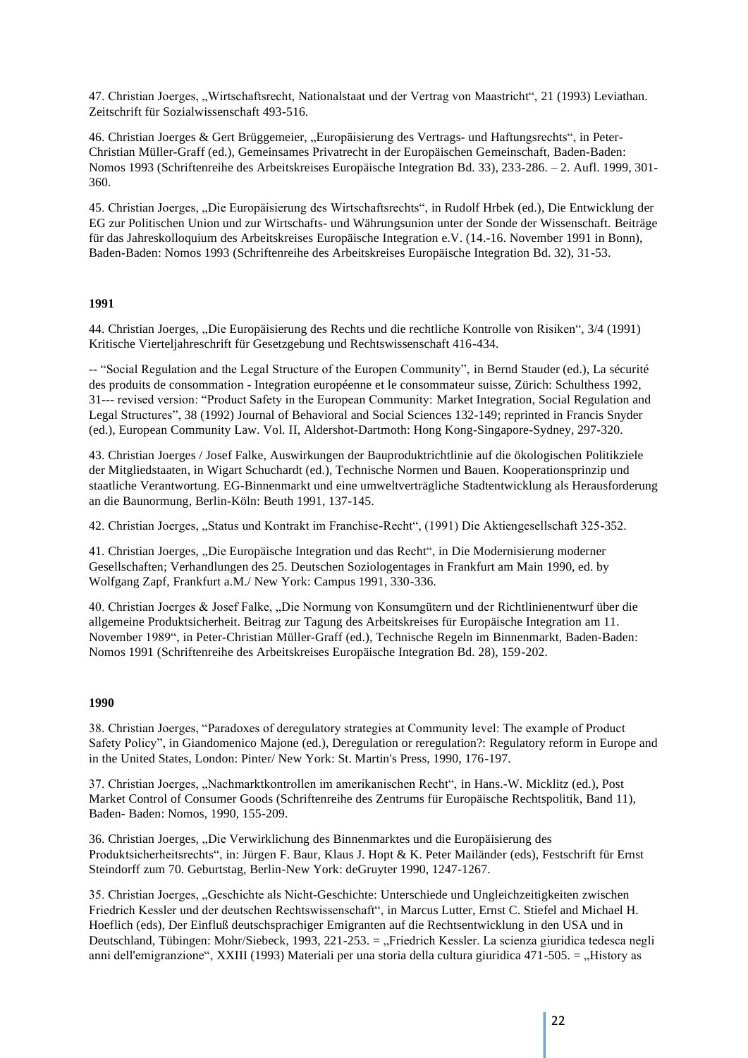47. Christian Joerges, "Wirtschaftsrecht, Nationalstaat und der Vertrag von Maastricht", 21 (1993) Leviathan. Zeitschrift für Sozialwissenschaft 493-516.

46. Christian Joerges & Gert Brüggemeier, "Europäisierung des Vertrags- und Haftungsrechts", in Peter-Christian Müller-Graff (ed.), Gemeinsames Privatrecht in der Europäischen Gemeinschaft, Baden-Baden: Nomos 1993 (Schriftenreihe des Arbeitskreises Europäische Integration Bd. 33), 233-286. – 2. Aufl. 1999, 301- 360.

45. Christian Joerges, "Die Europäisierung des Wirtschaftsrechts", in Rudolf Hrbek (ed.), Die Entwicklung der EG zur Politischen Union und zur Wirtschafts- und Währungsunion unter der Sonde der Wissenschaft. Beiträge für das Jahreskolloquium des Arbeitskreises Europäische Integration e.V. (14.-16. November 1991 in Bonn), Baden-Baden: Nomos 1993 (Schriftenreihe des Arbeitskreises Europäische Integration Bd. 32), 31-53.

#### **1991**

44. Christian Joerges, "Die Europäisierung des Rechts und die rechtliche Kontrolle von Risiken", 3/4 (1991) Kritische Vierteljahreschrift für Gesetzgebung und Rechtswissenschaft 416-434.

-- "Social Regulation and the Legal Structure of the Europen Community", in Bernd Stauder (ed.), La sécurité des produits de consommation - Integration européenne et le consommateur suisse, Zürich: Schulthess 1992, 31--- revised version: "Product Safety in the European Community: Market Integration, Social Regulation and Legal Structures", 38 (1992) Journal of Behavioral and Social Sciences 132-149; reprinted in Francis Snyder (ed.), European Community Law. Vol. II, Aldershot-Dartmoth: Hong Kong-Singapore-Sydney, 297-320.

43. Christian Joerges / Josef Falke, Auswirkungen der Bauproduktrichtlinie auf die ökologischen Politikziele der Mitgliedstaaten, in Wigart Schuchardt (ed.), Technische Normen und Bauen. Kooperationsprinzip und staatliche Verantwortung. EG-Binnenmarkt und eine umweltverträgliche Stadtentwicklung als Herausforderung an die Baunormung, Berlin-Köln: Beuth 1991, 137-145.

42. Christian Joerges, "Status und Kontrakt im Franchise-Recht", (1991) Die Aktiengesellschaft 325-352.

41. Christian Joerges, "Die Europäische Integration und das Recht", in Die Modernisierung moderner Gesellschaften; Verhandlungen des 25. Deutschen Soziologentages in Frankfurt am Main 1990, ed. by Wolfgang Zapf, Frankfurt a.M./ New York: Campus 1991, 330-336.

40. Christian Joerges & Josef Falke, "Die Normung von Konsumgütern und der Richtlinienentwurf über die allgemeine Produktsicherheit. Beitrag zur Tagung des Arbeitskreises für Europäische Integration am 11. November 1989", in Peter-Christian Müller-Graff (ed.), Technische Regeln im Binnenmarkt, Baden-Baden: Nomos 1991 (Schriftenreihe des Arbeitskreises Europäische Integration Bd. 28), 159-202.

#### **1990**

38. Christian Joerges, "Paradoxes of deregulatory strategies at Community level: The example of Product Safety Policy", in Giandomenico Majone (ed.), Deregulation or reregulation?: Regulatory reform in Europe and in the United States, London: Pinter/ New York: St. Martin's Press, 1990, 176-197.

37. Christian Joerges, "Nachmarktkontrollen im amerikanischen Recht", in Hans.-W. Micklitz (ed.), Post Market Control of Consumer Goods (Schriftenreihe des Zentrums für Europäische Rechtspolitik, Band 11), Baden- Baden: Nomos, 1990, 155-209.

36. Christian Joerges, "Die Verwirklichung des Binnenmarktes und die Europäisierung des Produktsicherheitsrechts", in: Jürgen F. Baur, Klaus J. Hopt & K. Peter Mailänder (eds), Festschrift für Ernst Steindorff zum 70. Geburtstag, Berlin-New York: deGruyter 1990, 1247-1267.

35. Christian Joerges, "Geschichte als Nicht-Geschichte: Unterschiede und Ungleichzeitigkeiten zwischen Friedrich Kessler und der deutschen Rechtswissenschaft", in Marcus Lutter, Ernst C. Stiefel and Michael H. Hoeflich (eds), Der Einfluß deutschsprachiger Emigranten auf die Rechtsentwicklung in den USA und in Deutschland, Tübingen: Mohr/Siebeck, 1993, 221-253. = "Friedrich Kessler. La scienza giuridica tedesca negli anni dell'emigranzione", XXIII (1993) Materiali per una storia della cultura giuridica 471-505. = "History as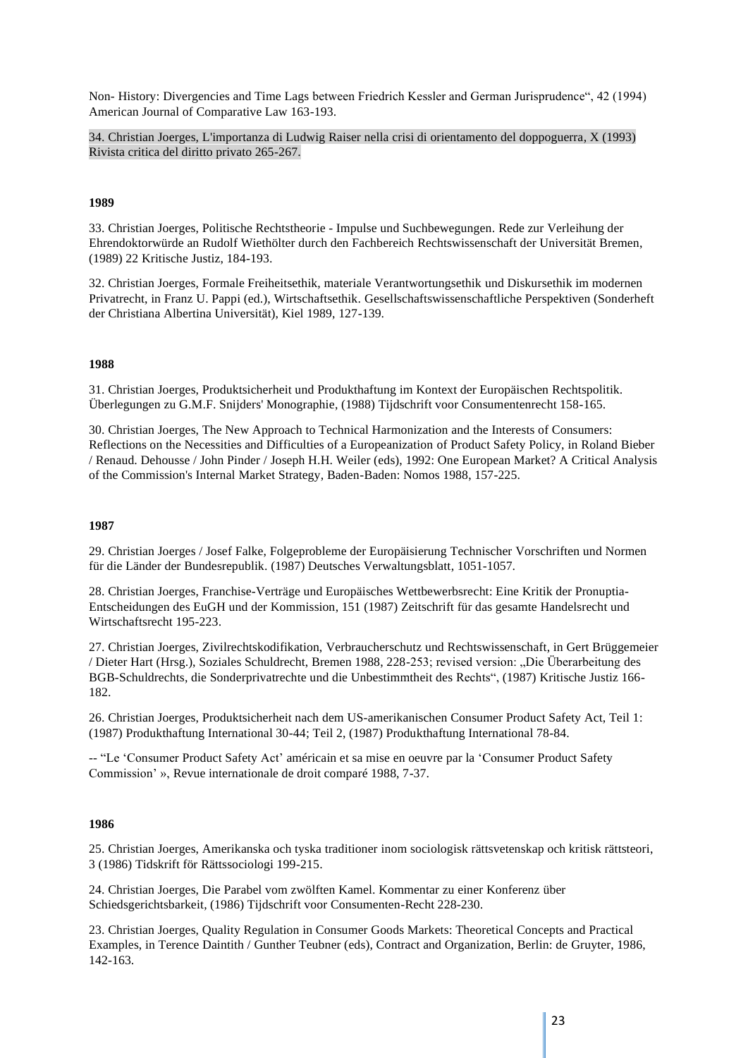Non- History: Divergencies and Time Lags between Friedrich Kessler and German Jurisprudence", 42 (1994) American Journal of Comparative Law 163-193.

34. Christian Joerges, L'importanza di Ludwig Raiser nella crisi di orientamento del doppoguerra, X (1993) Rivista critica del diritto privato 265-267.

#### **1989**

33. Christian Joerges, Politische Rechtstheorie - Impulse und Suchbewegungen. Rede zur Verleihung der Ehrendoktorwürde an Rudolf Wiethölter durch den Fachbereich Rechtswissenschaft der Universität Bremen, (1989) 22 Kritische Justiz, 184-193.

32. Christian Joerges, Formale Freiheitsethik, materiale Verantwortungsethik und Diskursethik im modernen Privatrecht, in Franz U. Pappi (ed.), Wirtschaftsethik. Gesellschaftswissenschaftliche Perspektiven (Sonderheft der Christiana Albertina Universität), Kiel 1989, 127-139.

#### **1988**

31. Christian Joerges, Produktsicherheit und Produkthaftung im Kontext der Europäischen Rechtspolitik. Überlegungen zu G.M.F. Snijders' Monographie, (1988) Tijdschrift voor Consumentenrecht 158-165.

30. Christian Joerges, The New Approach to Technical Harmonization and the Interests of Consumers: Reflections on the Necessities and Difficulties of a Europeanization of Product Safety Policy, in Roland Bieber / Renaud. Dehousse / John Pinder / Joseph H.H. Weiler (eds), 1992: One European Market? A Critical Analysis of the Commission's Internal Market Strategy, Baden-Baden: Nomos 1988, 157-225.

#### **1987**

29. Christian Joerges / Josef Falke, Folgeprobleme der Europäisierung Technischer Vorschriften und Normen für die Länder der Bundesrepublik. (1987) Deutsches Verwaltungsblatt, 1051-1057.

28. Christian Joerges, Franchise-Verträge und Europäisches Wettbewerbsrecht: Eine Kritik der Pronuptia-Entscheidungen des EuGH und der Kommission, 151 (1987) Zeitschrift für das gesamte Handelsrecht und Wirtschaftsrecht 195-223.

27. Christian Joerges, Zivilrechtskodifikation, Verbraucherschutz und Rechtswissenschaft, in Gert Brüggemeier / Dieter Hart (Hrsg.), Soziales Schuldrecht, Bremen 1988, 228-253; revised version: "Die Überarbeitung des BGB-Schuldrechts, die Sonderprivatrechte und die Unbestimmtheit des Rechts", (1987) Kritische Justiz 166- 182.

26. Christian Joerges, Produktsicherheit nach dem US-amerikanischen Consumer Product Safety Act, Teil 1: (1987) Produkthaftung International 30-44; Teil 2, (1987) Produkthaftung International 78-84.

-- "Le 'Consumer Product Safety Act' américain et sa mise en oeuvre par la 'Consumer Product Safety Commission' », Revue internationale de droit comparé 1988, 7-37.

#### **1986**

25. Christian Joerges, Amerikanska och tyska traditioner inom sociologisk rättsvetenskap och kritisk rättsteori, 3 (1986) Tidskrift för Rättssociologi 199-215.

24. Christian Joerges, Die Parabel vom zwölften Kamel. Kommentar zu einer Konferenz über Schiedsgerichtsbarkeit, (1986) Tijdschrift voor Consumenten-Recht 228-230.

23. Christian Joerges, Quality Regulation in Consumer Goods Markets: Theoretical Concepts and Practical Examples, in Terence Daintith / Gunther Teubner (eds), Contract and Organization, Berlin: de Gruyter, 1986, 142-163.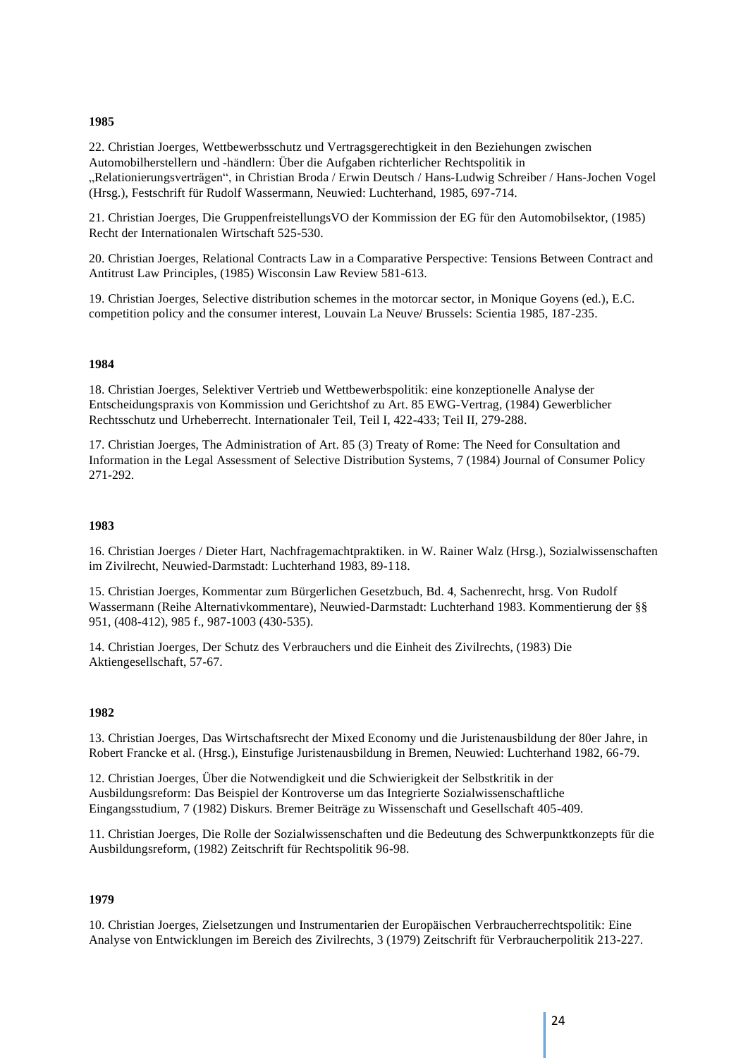#### **1985**

22. Christian Joerges, Wettbewerbsschutz und Vertragsgerechtigkeit in den Beziehungen zwischen Automobilherstellern und -händlern: Über die Aufgaben richterlicher Rechtspolitik in "Relationierungsverträgen", in Christian Broda / Erwin Deutsch / Hans-Ludwig Schreiber / Hans-Jochen Vogel (Hrsg.), Festschrift für Rudolf Wassermann, Neuwied: Luchterhand, 1985, 697-714.

21. Christian Joerges, Die GruppenfreistellungsVO der Kommission der EG für den Automobilsektor, (1985) Recht der Internationalen Wirtschaft 525-530.

20. Christian Joerges, Relational Contracts Law in a Comparative Perspective: Tensions Between Contract and Antitrust Law Principles, (1985) Wisconsin Law Review 581-613.

19. Christian Joerges, Selective distribution schemes in the motorcar sector, in Monique Goyens (ed.), E.C. competition policy and the consumer interest, Louvain La Neuve/ Brussels: Scientia 1985, 187-235.

#### **1984**

18. Christian Joerges, Selektiver Vertrieb und Wettbewerbspolitik: eine konzeptionelle Analyse der Entscheidungspraxis von Kommission und Gerichtshof zu Art. 85 EWG-Vertrag, (1984) Gewerblicher Rechtsschutz und Urheberrecht. Internationaler Teil, Teil I, 422-433; Teil II, 279-288.

17. Christian Joerges, The Administration of Art. 85 (3) Treaty of Rome: The Need for Consultation and Information in the Legal Assessment of Selective Distribution Systems, 7 (1984) Journal of Consumer Policy 271-292.

#### **1983**

16. Christian Joerges / Dieter Hart, Nachfragemachtpraktiken. in W. Rainer Walz (Hrsg.), Sozialwissenschaften im Zivilrecht, Neuwied-Darmstadt: Luchterhand 1983, 89-118.

15. Christian Joerges, Kommentar zum Bürgerlichen Gesetzbuch, Bd. 4, Sachenrecht, hrsg. Von Rudolf Wassermann (Reihe Alternativkommentare), Neuwied-Darmstadt: Luchterhand 1983. Kommentierung der §§ 951, (408-412), 985 f., 987-1003 (430-535).

14. Christian Joerges, Der Schutz des Verbrauchers und die Einheit des Zivilrechts, (1983) Die Aktiengesellschaft, 57-67.

#### **1982**

13. Christian Joerges, Das Wirtschaftsrecht der Mixed Economy und die Juristenausbildung der 80er Jahre, in Robert Francke et al. (Hrsg.), Einstufige Juristenausbildung in Bremen, Neuwied: Luchterhand 1982, 66-79.

12. Christian Joerges, Über die Notwendigkeit und die Schwierigkeit der Selbstkritik in der Ausbildungsreform: Das Beispiel der Kontroverse um das Integrierte Sozialwissenschaftliche Eingangsstudium, 7 (1982) Diskurs. Bremer Beiträge zu Wissenschaft und Gesellschaft 405-409.

11. Christian Joerges, Die Rolle der Sozialwissenschaften und die Bedeutung des Schwerpunktkonzepts für die Ausbildungsreform, (1982) Zeitschrift für Rechtspolitik 96-98.

#### **1979**

10. Christian Joerges, Zielsetzungen und Instrumentarien der Europäischen Verbraucherrechtspolitik: Eine Analyse von Entwicklungen im Bereich des Zivilrechts, 3 (1979) Zeitschrift für Verbraucherpolitik 213-227.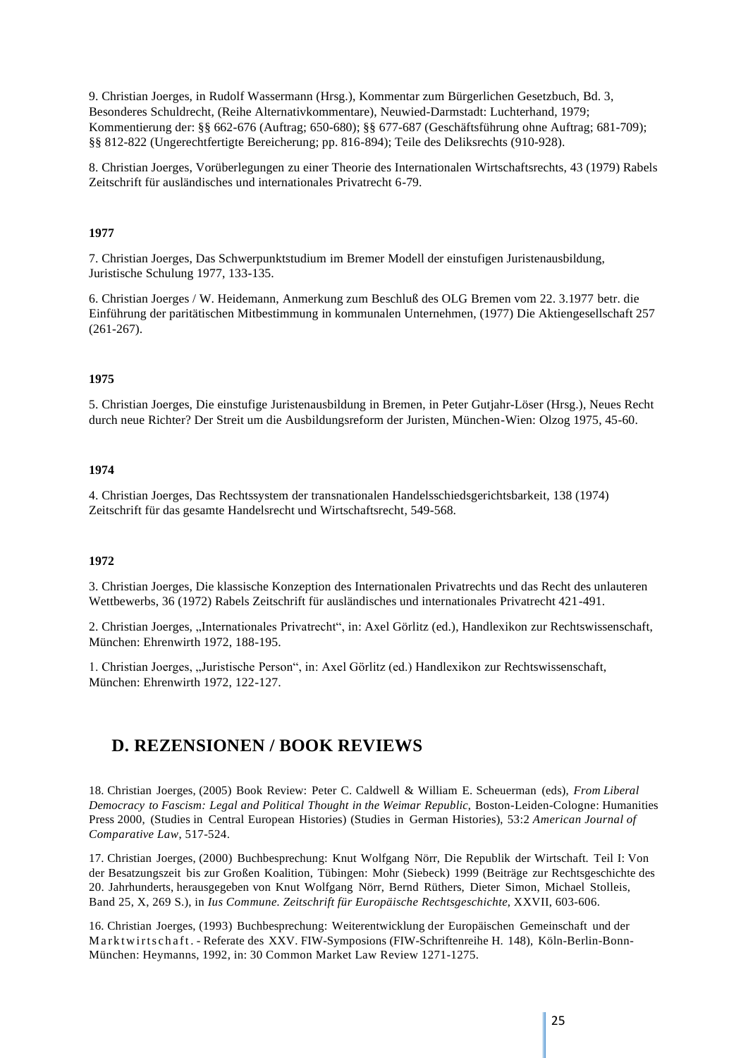9. Christian Joerges, in Rudolf Wassermann (Hrsg.), Kommentar zum Bürgerlichen Gesetzbuch, Bd. 3, Besonderes Schuldrecht, (Reihe Alternativkommentare), Neuwied-Darmstadt: Luchterhand, 1979; Kommentierung der: §§ 662-676 (Auftrag; 650-680); §§ 677-687 (Geschäftsführung ohne Auftrag; 681-709); §§ 812-822 (Ungerechtfertigte Bereicherung; pp. 816-894); Teile des Deliksrechts (910-928).

8. Christian Joerges, Vorüberlegungen zu einer Theorie des Internationalen Wirtschaftsrechts, 43 (1979) Rabels Zeitschrift für ausländisches und internationales Privatrecht 6-79.

#### **1977**

7. Christian Joerges, Das Schwerpunktstudium im Bremer Modell der einstufigen Juristenausbildung, Juristische Schulung 1977, 133-135.

6. Christian Joerges / W. Heidemann, Anmerkung zum Beschluß des OLG Bremen vom 22. 3.1977 betr. die Einführung der paritätischen Mitbestimmung in kommunalen Unternehmen, (1977) Die Aktiengesellschaft 257 (261-267).

#### **1975**

5. Christian Joerges, Die einstufige Juristenausbildung in Bremen, in Peter Gutjahr-Löser (Hrsg.), Neues Recht durch neue Richter? Der Streit um die Ausbildungsreform der Juristen, München-Wien: Olzog 1975, 45-60.

#### **1974**

4. Christian Joerges, Das Rechtssystem der transnationalen Handelsschiedsgerichtsbarkeit, 138 (1974) Zeitschrift für das gesamte Handelsrecht und Wirtschaftsrecht, 549-568.

#### **1972**

3. Christian Joerges, Die klassische Konzeption des Internationalen Privatrechts und das Recht des unlauteren Wettbewerbs, 36 (1972) Rabels Zeitschrift für ausländisches und internationales Privatrecht 421-491.

2. Christian Joerges, "Internationales Privatrecht", in: Axel Görlitz (ed.), Handlexikon zur Rechtswissenschaft, München: Ehrenwirth 1972, 188-195.

1. Christian Joerges, "Juristische Person", in: Axel Görlitz (ed.) Handlexikon zur Rechtswissenschaft, München: Ehrenwirth 1972, 122-127.

### <span id="page-24-0"></span>**D. REZENSIONEN / BOOK REVIEWS**

18. Christian Joerges, (2005) Book Review: Peter C. Caldwell & William E. Scheuerman (eds), *From Liberal Democracy to Fascism: Legal and Political Thought in the Weimar Republic*, Boston-Leiden-Cologne: Humanities Press 2000, (Studies in Central European Histories) (Studies in German Histories), 53:2 *American Journal of Comparative Law*, 517-524.

17. Christian Joerges, (2000) Buchbesprechung: Knut Wolfgang Nörr, Die Republik der Wirtschaft. Teil I: Von der Besatzungszeit bis zur Großen Koalition, Tübingen: Mohr (Siebeck) 1999 (Beiträge zur Rechtsgeschichte des 20. Jahrhunderts, herausgegeben von Knut Wolfgang Nörr, Bernd Rüthers, Dieter Simon, Michael Stolleis, Band 25, X, 269 S.), in *Ius Commune. Zeitschrift für Europäische Rechtsgeschichte*, XXVII, 603-606.

16. Christian Joerges, (1993) Buchbesprechung: Weiterentwicklung der Europäischen Gemeinschaft und der Marktwirtschaft. - Referate des XXV. FIW-Symposions (FIW-Schriftenreihe H. 148), Köln-Berlin-Bonn-München: Heymanns, 1992, in: 30 Common Market Law Review 1271-1275.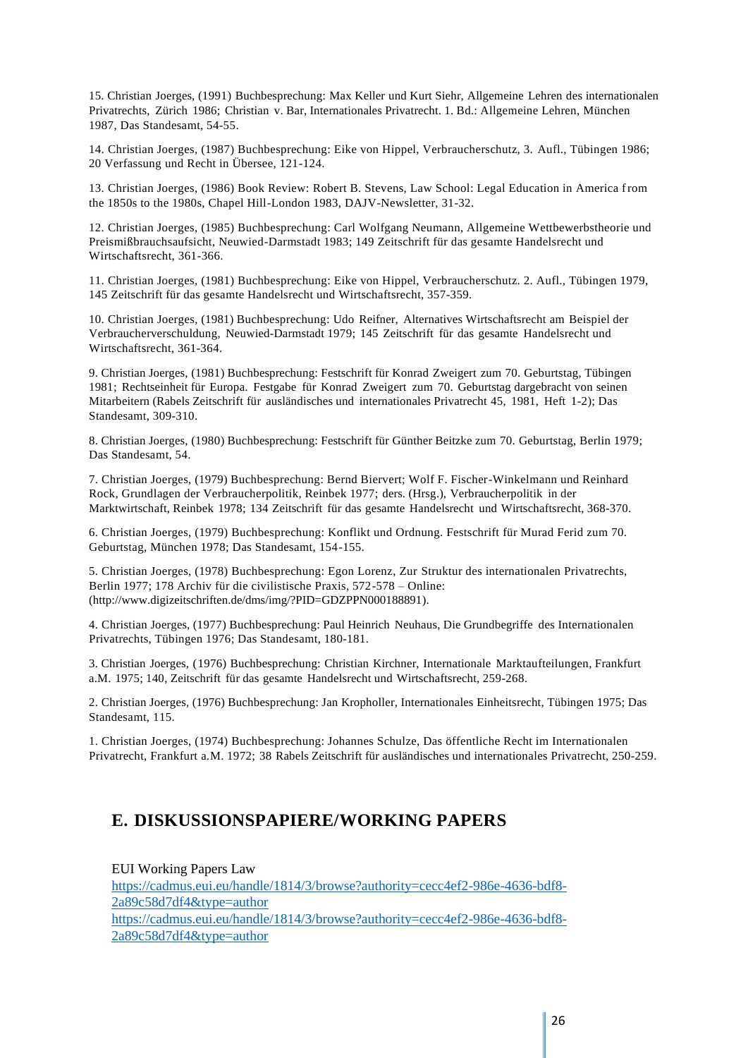15. Christian Joerges, (1991) Buchbesprechung: Max Keller und Kurt Siehr, Allgemeine Lehren des internationalen Privatrechts, Zürich 1986; Christian v. Bar, Internationales Privatrecht. 1. Bd.: Allgemeine Lehren, München 1987, Das Standesamt, 54-55.

14. Christian Joerges, (1987) Buchbesprechung: Eike von Hippel, Verbraucherschutz, 3. Aufl., Tübingen 1986; 20 Verfassung und Recht in Übersee, 121-124.

13. Christian Joerges, (1986) Book Review: Robert B. Stevens, Law School: Legal Education in America from the 1850s to the 1980s, Chapel Hill-London 1983, DAJV-Newsletter, 31-32.

12. Christian Joerges, (1985) Buchbesprechung: Carl Wolfgang Neumann, Allgemeine Wettbewerbstheorie und Preismißbrauchsaufsicht, Neuwied-Darmstadt 1983; 149 Zeitschrift für das gesamte Handelsrecht und Wirtschaftsrecht, 361-366.

11. Christian Joerges, (1981) Buchbesprechung: Eike von Hippel, Verbraucherschutz. 2. Aufl., Tübingen 1979, 145 Zeitschrift für das gesamte Handelsrecht und Wirtschaftsrecht, 357-359.

10. Christian Joerges, (1981) Buchbesprechung: Udo Reifner, Alternatives Wirtschaftsrecht am Beispiel der Verbraucherverschuldung, Neuwied-Darmstadt 1979; 145 Zeitschrift für das gesamte Handelsrecht und Wirtschaftsrecht, 361-364.

9. Christian Joerges, (1981) Buchbesprechung: Festschrift für Konrad Zweigert zum 70. Geburtstag, Tübingen 1981; Rechtseinheit für Europa. Festgabe für Konrad Zweigert zum 70. Geburtstag dargebracht von seinen Mitarbeitern (Rabels Zeitschrift für ausländisches und internationales Privatrecht 45, 1981, Heft 1-2); Das Standesamt, 309-310.

8. Christian Joerges, (1980) Buchbesprechung: Festschrift für Günther Beitzke zum 70. Geburtstag, Berlin 1979; Das Standesamt, 54.

7. Christian Joerges, (1979) Buchbesprechung: Bernd Biervert; Wolf F. Fischer-Winkelmann und Reinhard Rock, Grundlagen der Verbraucherpolitik, Reinbek 1977; ders. (Hrsg.), Verbraucherpolitik in der Marktwirtschaft, Reinbek 1978; 134 Zeitschrift für das gesamte Handelsrecht und Wirtschaftsrecht, 368-370.

6. Christian Joerges, (1979) Buchbesprechung: Konflikt und Ordnung. Festschrift für Murad Ferid zum 70. Geburtstag, München 1978; Das Standesamt, 154-155.

5. Christian Joerges, (1978) Buchbesprechung: Egon Lorenz, Zur Struktur des internationalen Privatrechts, Berlin 1977; 178 Archiv für die civilistische Praxis, 572-578 – Online: [\(http://www.digizeitschriften.de/dms/img/?PID=GDZPPN000188891\)](http://www.digizeitschriften.de/dms/img/?PID=GDZPPN000188891).

4. Christian Joerges, (1977) Buchbesprechung: Paul Heinrich Neuhaus, Die Grundbegriffe des Internationalen Privatrechts, Tübingen 1976; Das Standesamt, 180-181.

3. Christian Joerges, (1976) Buchbesprechung: Christian Kirchner, Internationale Marktaufteilungen, Frankfurt a.M. 1975; 140, Zeitschrift für das gesamte Handelsrecht und Wirtschaftsrecht, 259-268.

2. Christian Joerges, (1976) Buchbesprechung: Jan Kropholler, Internationales Einheitsrecht, Tübingen 1975; Das Standesamt, 115.

1. Christian Joerges, (1974) Buchbesprechung: Johannes Schulze, Das öffentliche Recht im Internationalen Privatrecht, Frankfurt a.M. 1972; 38 Rabels Zeitschrift für ausländisches und internationales Privatrecht, 250-259.

### <span id="page-25-0"></span>**E. DISKUSSIONSPAPIERE/WORKING PAPERS**

EUI Working Papers Law [https://cadmus.eui.eu/handle/1814/3/browse?authority=cecc4ef2-986e-4636-bdf8-](https://cadmus.eui.eu/handle/1814/3/browse?authority=cecc4ef2-986e-4636-bdf8-2a89c58d7df4&type=author) [2a89c58d7df4&type=author](https://cadmus.eui.eu/handle/1814/3/browse?authority=cecc4ef2-986e-4636-bdf8-2a89c58d7df4&type=author) [https://cadmus.eui.eu/handle/1814/3/browse?authority=cecc4ef2-986e-4636-bdf8-](https://cadmus.eui.eu/handle/1814/3/browse?authority=cecc4ef2-986e-4636-bdf8-2a89c58d7df4&type=author) [2a89c58d7df4&type=author](https://cadmus.eui.eu/handle/1814/3/browse?authority=cecc4ef2-986e-4636-bdf8-2a89c58d7df4&type=author)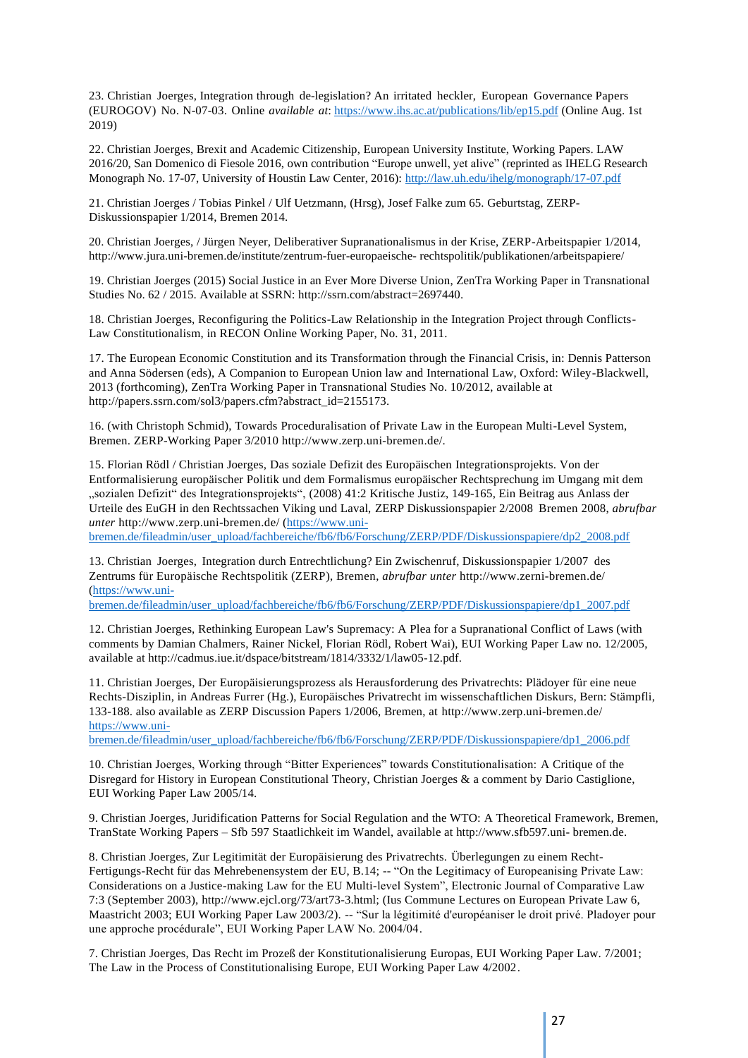23. Christian Joerges, Integration through de-legislation? An irritated heckler, European Governance Papers (EUROGOV) No. N-07-03. Online *available at*: https://www.ihs.ac.at/publications/lib/ep15.pdf (Online Aug. 1st 2019)

22. Christian Joerges, Brexit and Academic Citizenship, European University Institute, Working Papers. LAW 2016/20, San Domenico di Fiesole 2016, own contribution "Europe unwell, yet alive" (reprinted as IHELG Research Monograph No. 17-07, University of Houstin Law Center, 2016): http://law.uh.edu/ihelg/monograph/17-07.pdf

21. Christian Joerges / Tobias Pinkel / Ulf Uetzmann, (Hrsg), Josef Falke zum 65. Geburtstag, ZERP-Diskussionspapier 1/2014, Bremen 2014.

20. Christian Joerges, / Jürgen Neyer, Deliberativer Supranationalismus in der Krise, ZERP-Arbeitspapier 1/2014, http://www.jura.uni-bremen.de/institute/zentrum-fuer-europaeische- rechtspolitik/publikationen/arbeitspapiere/

19. Christian Joerges (2015) Social Justice in an Ever More Diverse Union, ZenTra Working Paper in Transnational Studies No. 62 / 2015. Available at SSRN: http://ssrn.com/abstract=2697440.

18. Christian Joerges, Reconfiguring the Politics-Law Relationship in the Integration Project through Conflicts-Law Constitutionalism, in RECON Online Working Paper, No. 31, 2011.

17. The European Economic Constitution and its Transformation through the Financial Crisis, in: Dennis Patterson and Anna Södersen (eds), A Companion to European Union law and International Law, Oxford: Wiley-Blackwell, 2013 (forthcoming), ZenTra Working Paper in Transnational Studies No. 10/2012, available at http://papers.ssrn.com/sol3/papers.cfm?abstract\_id=2155173.

16. (with Christoph Schmid), Towards Proceduralisation of Private Law in the European Multi-Level System, Bremen. ZERP-Working Paper 3/2010 http://www.zerp.uni-bremen.de/.

15. Florian Rödl / Christian Joerges, Das soziale Defizit des Europäischen Integrationsprojekts. Von der Entformalisierung europäischer Politik und dem Formalismus europäischer Rechtsprechung im Umgang mit dem "sozialen Defizit" des Integrationsprojekts", (2008) 41:2 Kritische Justiz, 149-165, Ein Beitrag aus Anlass der Urteile des EuGH in den Rechtssachen Viking und Laval, ZERP Diskussionspapier 2/2008 Bremen 2008, *abrufbar unter* http://www.zerp.uni-bremen.de/ (https://www.uni-

bremen.de/fileadmin/user\_upload/fachbereiche/fb6/fb6/Forschung/ZERP/PDF/Diskussionspapiere/dp2\_2008.pdf

13. Christian Joerges, Integration durch Entrechtlichung? Ein Zwischenruf, Diskussionspapier 1/2007 des Zentrums für Europäische Rechtspolitik (ZERP), Bremen, *abrufbar unter* http://www.zerni-bremen.de/ (https://www.uni-

bremen.de/fileadmin/user\_upload/fachbereiche/fb6/fb6/Forschung/ZERP/PDF/Diskussionspapiere/dp1\_2007.pdf

12. Christian Joerges, Rethinking European Law's Supremacy: A Plea for a Supranational Conflict of Laws (with comments by Damian Chalmers, Rainer Nickel, Florian Rödl, Robert Wai), EUI Working Paper Law no. 12/2005, available at http://cadmus.iue.it/dspace/bitstream/1814/3332/1/law05-12.pdf.

11. Christian Joerges, Der Europäisierungsprozess als Herausforderung des Privatrechts: Plädoyer für eine neue Rechts-Disziplin, in Andreas Furrer (Hg.), Europäisches Privatrecht im wissenschaftlichen Diskurs, Bern: Stämpfli, 133-188. also available as ZERP Discussion Papers 1/2006, Bremen, at http://www.zerp.uni-bremen.de/ https://www.uni-

bremen.de/fileadmin/user\_upload/fachbereiche/fb6/fb6/Forschung/ZERP/PDF/Diskussionspapiere/dp1\_2006.pdf

10. Christian Joerges, Working through "Bitter Experiences" towards Constitutionalisation: A Critique of the Disregard for History in European Constitutional Theory, Christian Joerges & a comment by Dario Castiglione, EUI Working Paper Law 2005/14.

9. Christian Joerges, Juridification Patterns for Social Regulation and the WTO: A Theoretical Framework, Bremen, TranState Working Papers – Sfb 597 Staatlichkeit im Wandel, available at http://www.sfb597.uni- bremen.de.

8. Christian Joerges, Zur Legitimität der Europäisierung des Privatrechts. Überlegungen zu einem Recht-Fertigungs-Recht für das Mehrebenensystem der EU, B.14; -- "On the Legitimacy of Europeanising Private Law: Considerations on a Justice-making Law for the EU Multi-level System", Electronic Journal of Comparative Law 7:3 (September 2003), http://www.ejcl.org/73/art73-3.html; (Ius Commune Lectures on European Private Law 6, Maastricht 2003; EUI Working Paper Law 2003/2). -- "Sur la légitimité d'européaniser le droit privé. Pladoyer pour une approche procédurale", EUI Working Paper LAW No. 2004/04.

7. Christian Joerges, Das Recht im Prozeß der Konstitutionalisierung Europas, EUI Working Paper Law. 7/2001; The Law in the Process of Constitutionalising Europe, EUI Working Paper Law 4/2002.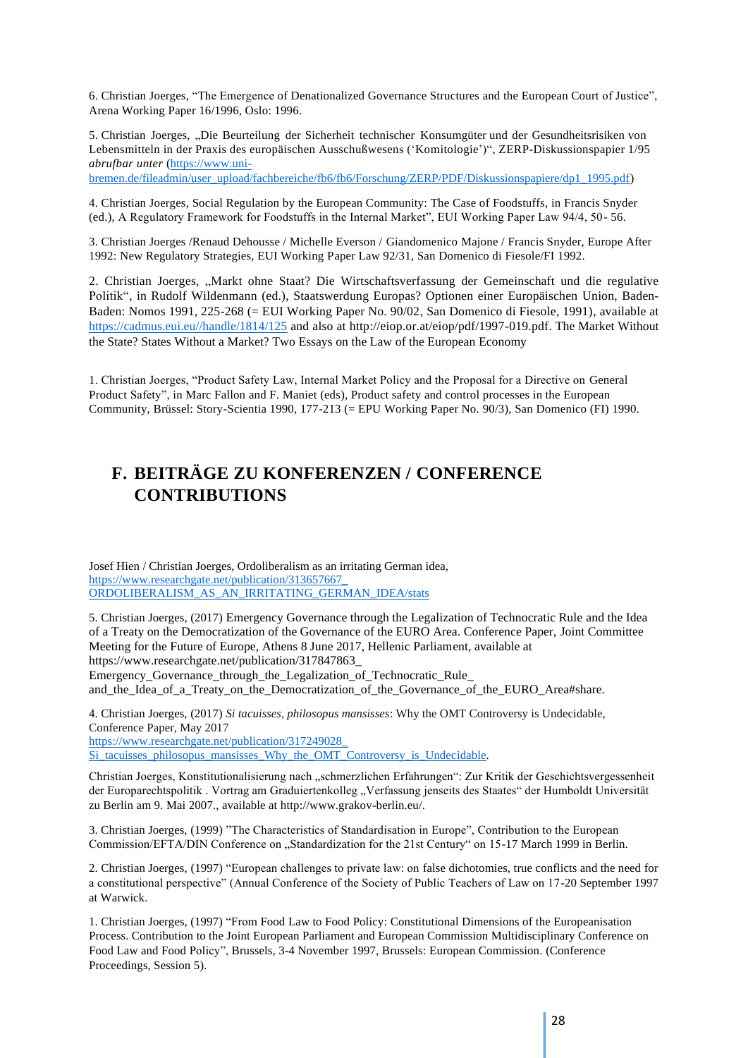6. Christian Joerges, "The Emergence of Denationalized Governance Structures and the European Court of Justice", Arena Working Paper 16/1996, Oslo: 1996.

5. Christian Joerges, "Die Beurteilung der Sicherheit technischer Konsumgüter und der Gesundheitsrisiken von Lebensmitteln in der Praxis des europäischen Ausschußwesens ('Komitologie')", ZERP-Diskussionspapier 1/95 *abrufbar unter* (https://www.uni-

bremen.de/fileadmin/user\_upload/fachbereiche/fb6/fb6/Forschung/ZERP/PDF/Diskussionspapiere/dp1\_1995.pdf)

4. Christian Joerges, Social Regulation by the European Community: The Case of Foodstuffs, in Francis Snyder (ed.), A Regulatory Framework for Foodstuffs in the Internal Market", EUI Working Paper Law 94/4, 50- 56.

3. Christian Joerges /Renaud Dehousse / Michelle Everson / Giandomenico Majone / Francis Snyder, Europe After 1992: New Regulatory Strategies, EUI Working Paper Law 92/31, San Domenico di Fiesole/FI 1992.

2. Christian Joerges, "Markt ohne Staat? Die Wirtschaftsverfassung der Gemeinschaft und die regulative Politik", in Rudolf Wildenmann (ed.), Staatswerdung Europas? Optionen einer Europäischen Union, Baden-Baden: Nomos 1991, 225-268 (= EUI Working Paper No. 90/02, San Domenico di Fiesole, 1991), available at https://cadmus.eui.eu//handle/1814/125 and also at http://eiop.or.at/eiop/pdf/1997-019.pdf. The Market Without the State? States Without a Market? Two Essays on the Law of the European Economy

1. Christian Joerges, "Product Safety Law, Internal Market Policy and the Proposal for a Directive on General Product Safety", in Marc Fallon and F. Maniet (eds), Product safety and control processes in the European Community, Brüssel: Story-Scientia 1990, 177-213 (= EPU Working Paper No. 90/3), San Domenico (FI) 1990.

# <span id="page-27-0"></span>**F. BEITRÄGE ZU KONFERENZEN / CONFERENCE CONTRIBUTIONS**

Josef Hien / Christian Joerges, Ordoliberalism as an irritating German idea, https://www.researchgate.net/publication/313657667\_ ORDOLIBERALISM\_AS\_AN\_IRRITATING\_GERMAN\_IDEA/stats

5. Christian Joerges, (2017) Emergency Governance through the Legalization of Technocratic Rule and the Idea of a Treaty on the Democratization of the Governance of the EURO Area. Conference Paper, Joint Committee Meeting for the Future of Europe, Athens 8 June 2017, Hellenic Parliament, available at https://www.researchgate.net/publication/317847863\_

Emergency\_Governance\_through\_the\_Legalization\_of\_Technocratic\_Rule\_

and\_the\_Idea\_of\_a\_Treaty\_on\_the\_Democratization\_of\_the\_Governance\_of\_the\_EURO\_Area#share.

4. Christian Joerges, (2017) *Si tacuisses, philosopus mansisses*: Why the OMT Controversy is Undecidable, Conference Paper, May 2017 https://www.researchgate.net/publication/317249028\_ Si\_tacuisses\_philosopus\_mansisses\_Why\_the\_OMT\_Controversy\_is\_Undecidable.

Christian Joerges, Konstitutionalisierung nach "schmerzlichen Erfahrungen": Zur Kritik der Geschichtsvergessenheit der Europarechtspolitik . Vortrag am Graduiertenkolleg "Verfassung jenseits des Staates" der Humboldt Universität zu Berlin am 9. Mai 2007., available at http://www.grakov-berlin.eu/.

3. Christian Joerges, (1999) "The Characteristics of Standardisation in Europe", Contribution to the European Commission/EFTA/DIN Conference on "Standardization for the 21st Century" on 15-17 March 1999 in Berlin.

2. Christian Joerges, (1997) "European challenges to private law: on false dichotomies, true conflicts and the need for a constitutional perspective" (Annual Conference of the Society of Public Teachers of Law on 17-20 September 1997 at Warwick.

1. Christian Joerges, (1997) "From Food Law to Food Policy: Constitutional Dimensions of the Europeanisation Process. Contribution to the Joint European Parliament and European Commission Multidisciplinary Conference on Food Law and Food Policy", Brussels, 3-4 November 1997, Brussels: European Commission. (Conference Proceedings, Session 5).